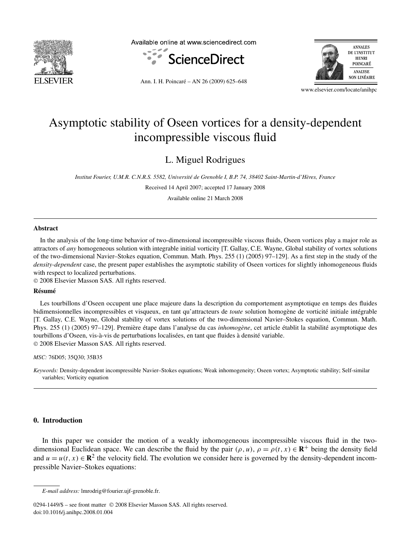

Available online at www.sciencedirect.com





Ann. I. H. Poincaré – AN 26 (2009) 625–648

www.elsevier.com/locate/anihpc

# Asymptotic stability of Oseen vortices for a density-dependent incompressible viscous fluid

L. Miguel Rodrigues

*Institut Fourier, U.M.R. C.N.R.S. 5582, Université de Grenoble I, B.P. 74, 38402 Saint-Martin-d'Hères, France*

Received 14 April 2007; accepted 17 January 2008

Available online 21 March 2008

#### **Abstract**

In the analysis of the long-time behavior of two-dimensional incompressible viscous fluids, Oseen vortices play a major role as attractors of *any* homogeneous solution with integrable initial vorticity [T. Gallay, C.E. Wayne, Global stability of vortex solutions of the two-dimensional Navier–Stokes equation, Commun. Math. Phys. 255 (1) (2005) 97–129]. As a first step in the study of the *density-dependent* case, the present paper establishes the asymptotic stability of Oseen vortices for slightly inhomogeneous fluids with respect to localized perturbations.

© 2008 Elsevier Masson SAS. All rights reserved.

#### **Résumé**

Les tourbillons d'Oseen occupent une place majeure dans la description du comportement asymptotique en temps des fluides bidimensionnelles incompressibles et visqueux, en tant qu'attracteurs de *toute* solution homogène de vorticité initiale intégrable [T. Gallay, C.E. Wayne, Global stability of vortex solutions of the two-dimensional Navier–Stokes equation, Commun. Math. Phys. 255 (1) (2005) 97–129]. Première étape dans l'analyse du cas *inhomogène*, cet article établit la stabilité asymptotique des tourbillons d'Oseen, vis-à-vis de perturbations localisées, en tant que fluides à densité variable. © 2008 Elsevier Masson SAS. All rights reserved.

*MSC:* 76D05; 35Q30; 35B35

*Keywords:* Density-dependent incompressible Navier–Stokes equations; Weak inhomogeneity; Oseen vortex; Asymptotic stability; Self-similar variables; Vorticity equation

## **0. Introduction**

In this paper we consider the motion of a weakly inhomogeneous incompressible viscous fluid in the twodimensional Euclidean space. We can describe the fluid by the pair  $(\rho, u)$ ,  $\rho = \rho(t, x) \in \mathbb{R}^+$  being the density field and  $u = u(t, x) \in \mathbb{R}^2$  the velocity field. The evolution we consider here is governed by the density-dependent incompressible Navier–Stokes equations:

*E-mail address:* lmrodrig@fourier.ujf-grenoble.fr.

<sup>0294-1449/\$ –</sup> see front matter © 2008 Elsevier Masson SAS. All rights reserved. doi:10.1016/j.anihpc.2008.01.004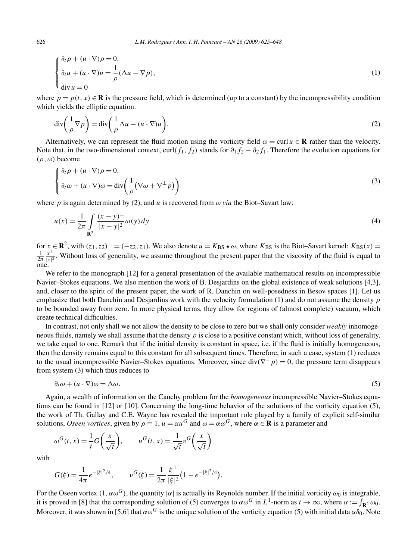$$
\begin{cases} \n\frac{\partial_t \rho + (u \cdot \nabla) \rho = 0,}{\partial_t u + (u \cdot \nabla) u = \frac{1}{\rho} (\Delta u - \nabla p), \\
\text{div } u = 0\n\end{cases}
$$
\n(1)

where  $p = p(t, x) \in \mathbb{R}$  is the pressure field, which is determined (up to a constant) by the incompressibility condition which yields the elliptic equation:

$$
\operatorname{div}\left(\frac{1}{\rho}\nabla p\right) = \operatorname{div}\left(\frac{1}{\rho}\Delta u - (u\cdot\nabla)u\right). \tag{2}
$$

Alternatively, we can represent the fluid motion using the vorticity field  $\omega = \text{curl } u \in \mathbf{R}$  rather than the velocity. Note that, in the two-dimensional context, curl( $f_1$ ,  $f_2$ ) stands for  $\partial_1 f_2 - \partial_2 f_1$ . Therefore the evolution equations for *(ρ , ω)* become

$$
\begin{cases} \partial_t \rho + (u \cdot \nabla) \rho = 0, \\ \partial_t \omega + (u \cdot \nabla) \omega = \text{div} \left( \frac{1}{\rho} (\nabla \omega + \nabla^{\perp} p) \right) \end{cases}
$$
 (3)

where *p* is again determined by (2), and *u* is recovered from  $\omega$  *via* the Biot–Savart law:

$$
u(x) = \frac{1}{2\pi} \int_{\mathbf{R}^2} \frac{(x - y)^{\perp}}{|x - y|^2} \omega(y) \, dy \tag{4}
$$

for  $x \in \mathbb{R}^2$ , with  $(z_1, z_2)^{\perp} = (-z_2, z_1)$ . We also denote  $u = K_{BS} \star \omega$ , where  $K_{BS}$  is the Biot-Savart kernel:  $K_{BS}(x) = \frac{1}{2\pi} \frac{x^{\perp}}{|x|^2}$ . Without loss of generality, we assume throughout the present paper th one.

We refer to the monograph [12] for a general presentation of the available mathematical results on incompressible Navier–Stokes equations. We also mention the work of B. Desjardins on the global existence of weak solutions [4,3], and, closer to the spirit of the present paper, the work of R. Danchin on well-posedness in Besov spaces [1]. Let us emphasize that both Danchin and Desjardins work with the velocity formulation (1) and do not assume the density *ρ* to be bounded away from zero. In more physical terms, they allow for regions of (almost complete) vacuum, which create technical difficulties.

In contrast, not only shall we not allow the density to be close to zero but we shall only consider *weakly* inhomogeneous fluids, namely we shall assume that the density *ρ* is close to a positive constant which, without loss of generality, we take equal to one. Remark that if the initial density is constant in space, i.e. if the fluid is initially homogeneous, then the density remains equal to this constant for all subsequent times. Therefore, in such a case, system (1) reduces to the usual incompressible Navier–Stokes equations. Moreover, since  $div(\nabla^{\perp} p) = 0$ , the pressure term disappears from system (3) which thus reduces to

$$
\partial_t \omega + (u \cdot \nabla)\omega = \Delta \omega. \tag{5}
$$

Again, a wealth of information on the Cauchy problem for the *homogeneous* incompressible Navier–Stokes equations can be found in [12] or [10]. Concerning the long-time behavior of the solutions of the vorticity equation (5), the work of Th. Gallay and C.E. Wayne has revealed the important role played by a family of explicit self-similar solutions, *Oseen vortices*, given by  $\rho \equiv 1$ ,  $u = \alpha u^G$  and  $\omega = \alpha \omega^G$ , where  $\alpha \in \mathbb{R}$  is a parameter and

$$
\omega^G(t, x) = \frac{1}{t} G\left(\frac{x}{\sqrt{t}}\right), \qquad u^G(t, x) = \frac{1}{\sqrt{t}} v^G\left(\frac{x}{\sqrt{t}}\right)
$$

with

$$
G(\xi) = \frac{1}{4\pi} e^{-|\xi|^2/4}, \qquad v^G(\xi) = \frac{1}{2\pi} \frac{\xi^{\perp}}{|\xi|^2} \left(1 - e^{-|\xi|^2/4}\right).
$$

For the Oseen vortex  $(1, \alpha \omega^G)$ , the quantity  $|\alpha|$  is actually its Reynolds number. If the initial vorticity  $\omega_0$  is integrable, it is proved in [8] that the corresponding solution of (5) converges to  $\alpha \omega^G$  in  $L^1$ -norm as  $t \to \infty$ , where  $\alpha := \int_{\mathbf{R}^2} \omega_0$ . Moreover, it was shown in [5,6] that  $\alpha \omega$ <sup>G</sup> is the unique solution of the vorticity equation (5) with initial data  $\alpha \delta_0$ . Note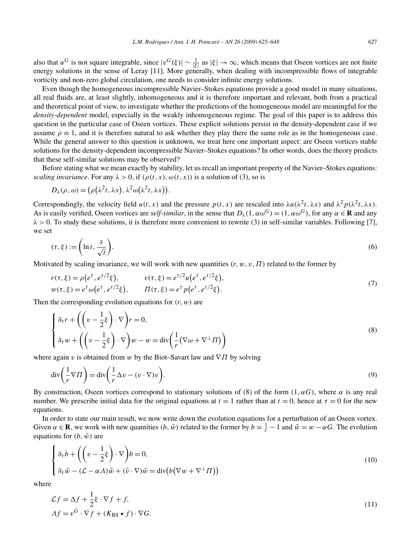also that  $u^G$  is not square integrable, since  $|v^G(\xi)| \sim \frac{1}{|\xi|}$  as  $|\xi| \to \infty$ , which means that Oseen vortices are not finite energy solutions in the sense of Leray [11]. More generally, when dealing with incompressible flows of integrable vorticity and non-zero global circulation, one needs to consider infinite energy solutions.

Even though the homogeneous incompressible Navier–Stokes equations provide a good model in many situations, all real fluids are, at least slightly, inhomogeneous and it is therefore important and relevant, both from a practical and theoretical point of view, to investigate whether the predictions of the homogeneous model are meaningful for the *density-dependent* model, especially in the weakly inhomogeneous regime. The goal of this paper is to address this question in the particular case of Oseen vortices. These explicit solutions persist in the density-dependent case if we assume  $\rho \equiv 1$ , and it is therefore natural to ask whether they play there the same role as in the homogeneous case. While the general answer to this question is unknown, we treat here one important aspect: are Oseen vortices stable solutions for the density-dependent incompressible Navier–Stokes equations? In other words, does the theory predicts that these self-similar solutions may be observed?

Before stating what we mean exactly by stability, let us recall an important property of the Navier–Stokes equations: *scaling invariance*. For any  $\lambda > 0$ , if  $(\rho(t, x), \omega(t, x))$  is a solution of (3), so is

$$
D_{\lambda}(\rho,\omega) = (\rho(\lambda^2 t, \lambda x), \lambda^2 \omega(\lambda^2 t, \lambda x)).
$$

Correspondingly, the velocity field  $u(t, x)$  and the pressure  $p(t, x)$  are rescaled into  $\lambda u(\lambda^2 t, \lambda x)$  and  $\lambda^2 p(\lambda^2 t, \lambda x)$ . As is easily verified, Oseen vortices are *self-similar*, in the sense that  $D_\lambda(1, \alpha \omega^G) = (1, \alpha \omega^G)$ , for any  $\alpha \in \mathbb{R}$  and any *λ >* 0. To study these solutions, it is therefore more convenient to rewrite (3) in self-similar variables. Following [7], we set

$$
(\tau,\xi) := \left(\ln t, \frac{x}{\sqrt{t}}\right). \tag{6}
$$

Motivated by scaling invariance, we will work with new quantities  $(r, w, v, \Pi)$  related to the former by

$$
r(\tau, \xi) = \rho(e^{\tau}, e^{\tau/2}\xi), \qquad v(\tau, \xi) = e^{\tau/2}u(e^{\tau}, e^{\tau/2}\xi), w(\tau, \xi) = e^{\tau}\omega(e^{\tau}, e^{\tau/2}\xi), \qquad \Pi(\tau, \xi) = e^{\tau}p(e^{\tau}, e^{\tau/2}\xi).
$$
\n(7)

Then the corresponding evolution equations for *(r, w)* are

$$
\begin{cases} \partial_{\tau} r + \left( \left( v - \frac{1}{2} \xi \right) \cdot \nabla \right) r = 0, \\ \partial_{\tau} w + \left( \left( v - \frac{1}{2} \xi \right) \cdot \nabla \right) w - w = \text{div} \left( \frac{1}{r} (\nabla \omega + \nabla^{\perp} \Pi) \right) \end{cases}
$$
(8)

where again *v* is obtained from *w* by the Biot–Savart law and  $\nabla \Pi$  by solving

$$
\operatorname{div}\left(\frac{1}{r}\nabla\Pi\right) = \operatorname{div}\left(\frac{1}{r}\Delta v - (v\cdot\nabla)v\right). \tag{9}
$$

By construction, Oseen vortices correspond to stationary solutions of (8) of the form  $(1, \alpha G)$ , where  $\alpha$  is any real number. We prescribe initial data for the original equations at  $t = 1$  rather than at  $t = 0$ , hence at  $\tau = 0$  for the new equations.

In order to state our main result, we now write down the evolution equations for a perturbation of an Oseen vortex. Given  $\alpha \in \mathbf{R}$ , we work with new quantities  $(b, \tilde{w})$  related to the former by  $b = \frac{1}{r} - 1$  and  $\tilde{w} = w - \alpha G$ . The evolution equations for  $(b, \tilde{w})$  are

$$
\begin{cases} \partial_{\tau} b + \left( \left( v - \frac{1}{2} \xi \right) \cdot \nabla \right) b = 0, \\ \partial_{\tau} \tilde{w} - (\mathcal{L} - \alpha \Lambda) \tilde{w} + (\tilde{v} \cdot \nabla) \tilde{w} = \text{div} \big( b \big( \nabla w + \nabla^{\perp} \Pi \big) \big) \end{cases}
$$
(10)

where

$$
\mathcal{L}f = \Delta f + \frac{1}{2}\xi \cdot \nabla f + f,
$$
  
\n
$$
\Delta f = v^G \cdot \nabla f + (K_{\text{BS}} \star f) \cdot \nabla G.
$$
\n(11)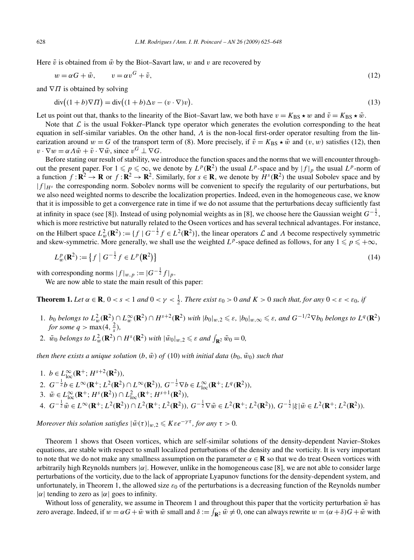Here  $\tilde{v}$  is obtained from  $\tilde{w}$  by the Biot–Savart law,  $w$  and  $v$  are recovered by

$$
w = \alpha G + \tilde{w}, \qquad v = \alpha v^G + \tilde{v}, \tag{12}
$$

and  $∇$ *Π* is obtained by solving

$$
\operatorname{div}\left((1+b)\nabla\Pi\right) = \operatorname{div}\left((1+b)\Delta v - (v\cdot\nabla)v\right). \tag{13}
$$

Let us point out that, thanks to the linearity of the Biot–Savart law, we both have  $v = K_{BS} \star w$  and  $\tilde{v} = K_{BS} \star \tilde{w}$ .

Note that  $\mathcal L$  is the usual Fokker–Planck type operator which generates the evolution corresponding to the heat equation in self-similar variables. On the other hand, *Λ* is the non-local first-order operator resulting from the linearization around  $w = G$  of the transport term of (8). More precisely, if  $\tilde{v} = K_{BS} \star \tilde{w}$  and  $(v, w)$  satisfies (12), then  $v \cdot \nabla w = \alpha A \tilde{w} + \tilde{v} \cdot \nabla \tilde{w}$ , since  $v^G \perp \nabla G$ .

Before stating our result of stability, we introduce the function spaces and the norms that we will encounter throughout the present paper. For  $1 \leq p \leq \infty$ , we denote by  $L^p(\mathbf{R}^2)$  the usual  $L^p$ -space and by  $|f|_p$  the usual  $L^p$ -norm of a function  $f: \mathbb{R}^2 \to \mathbb{R}$  or  $f: \mathbb{R}^2 \to \mathbb{R}^2$ . Similarly, for  $s \in \mathbb{R}$ , we denote by  $H^s(\mathbb{R}^2)$  the usual Sobolev space and by  $|f|_{H^s}$  the corresponding norm. Sobolev norms will be convenient to specify the regularity of our perturbations, but we also need weighted norms to describe the localization properties. Indeed, even in the homogeneous case, we know that it is impossible to get a convergence rate in time if we do not assume that the perturbations decay sufficiently fast at infinity in space (see [8]). Instead of using polynomial weights as in [8], we choose here the Gaussian weight  $G^{-\frac{1}{2}}$ , which is more restrictive but naturally related to the Oseen vortices and has several technical advantages. For instance, on the Hilbert space  $L^2_w(\mathbf{R}^2) := \{f \mid G^{-\frac{1}{2}}f \in L^2(\mathbf{R}^2)\}$ , the linear operators  $\mathcal L$  and  $\Lambda$  become respectively symmetric and skew-symmetric. More generally, we shall use the weighted  $L^p$ -space defined as follows, for any  $1 \leq p \leq +\infty$ ,

$$
L_w^p(\mathbf{R}^2) := \left\{ f \mid G^{-\frac{1}{2}} f \in L^p(\mathbf{R}^2) \right\}
$$
 (14)

with corresponding norms  $|f|_{w,p} := |G^{-\frac{1}{2}}f|_p$ .

We are now able to state the main result of this paper:

**Theorem 1.** Let  $\alpha \in \mathbb{R}$ ,  $0 < s < 1$  and  $0 < \gamma < \frac{1}{2}$ . There exist  $\varepsilon_0 > 0$  and  $K > 0$  such that, for any  $0 < \varepsilon < \varepsilon_0$ , if

- 1. b<sub>0</sub> belongs to  $L^2_w(\mathbf{R}^2) \cap L^\infty_w(\mathbf{R}^2) \cap H^{s+2}(\mathbf{R}^2)$  with  $|b_0|_{w,2} \leq \varepsilon$ ,  $|b_0|_{w,\infty} \leq \varepsilon$ , and  $G^{-1/2}\nabla b_0$  belongs to  $L^q(\mathbf{R}^2)$ *for some*  $q > \max(4, \frac{2}{s})$ ,
- 2.  $\tilde{w}_0$  belongs to  $L^2_w(\mathbf{R}^2) \cap H^s(\mathbf{R}^2)$  with  $|\tilde{w}_0|_{w,2} \leq \varepsilon$  and  $\int_{\mathbf{R}^2} \tilde{w}_0 = 0$ ,

*then there exists a unique solution*  $(b, \tilde{w})$  *of* (10) *with initial data*  $(b_0, \tilde{w}_0)$  *such that* 

1.  $b \in L^{\infty}_{loc}(\mathbf{R}^+; H^{s+2}(\mathbf{R}^2))$ , 2.  $G^{-\frac{1}{2}}b \in L^{\infty}(\mathbf{R}^+; L^2(\mathbf{R}^2) \cap L^{\infty}(\mathbf{R}^2)), G^{-\frac{1}{2}}\nabla b \in L^{\infty}_{loc}(\mathbf{R}^+; L^q(\mathbf{R}^2)),$ 3.  $\tilde{w} \in L^{\infty}_{loc}(\mathbf{R}^+; H^s(\mathbf{R}^2)) \cap L^2_{loc}(\mathbf{R}^+; H^{s+1}(\mathbf{R}^2))$ , 4.  $G^{-\frac{1}{2}}\tilde{w} \in L^{\infty}(\mathbf{R}^+; L^2(\mathbf{R}^2)) \cap L^2(\mathbf{R}^+; L^2(\mathbf{R}^2)), G^{-\frac{1}{2}}\nabla \tilde{w} \in L^2(\mathbf{R}^+; L^2(\mathbf{R}^2)), G^{-\frac{1}{2}}|\xi|\tilde{w} \in L^2(\mathbf{R}^+; L^2(\mathbf{R}^2)).$ 

*Moreover this solution satisfies*  $|\tilde{w}(\tau)|_{w,2} \leqslant K \varepsilon e^{-\gamma \tau}$ , for any  $\tau > 0$ .

Theorem 1 shows that Oseen vortices, which are self-similar solutions of the density-dependent Navier–Stokes equations, are stable with respect to small localized perturbations of the density and the vorticity. It is very important to note that we do not make any smallness assumption on the parameter  $\alpha \in \mathbf{R}$  so that we do treat Oseen vortices with arbitrarily high Reynolds numbers |*α*|. However, unlike in the homogeneous case [8], we are not able to consider large perturbations of the vorticity, due to the lack of appropriate Lyapunov functions for the density-dependent system, and unfortunately, in Theorem 1, the allowed size  $\varepsilon_0$  of the perturbations is a decreasing function of the Reynolds number  $|\alpha|$  tending to zero as  $|\alpha|$  goes to infinity.

Without loss of generality, we assume in Theorem 1 and throughout this paper that the vorticity perturbation  $\tilde{w}$  has zero average. Indeed, if  $w = \alpha G + \bar{w}$  with  $\bar{w}$  small and  $\delta := \int_{\mathbf{R}^2} \bar{w} \neq 0$ , one can always rewrite  $w = (\alpha + \delta)G + \tilde{w}$  with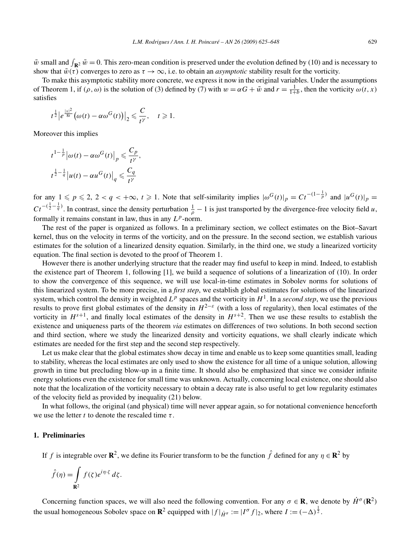$\tilde{w}$  small and  $\int_{\mathbf{R}^2} \tilde{w} = 0$ . This zero-mean condition is preserved under the evolution defined by (10) and is necessary to show that  $\tilde{w}(\tau)$  converges to zero as  $\tau \to \infty$ , i.e. to obtain an *asymptotic* stability result for the vorticity.

To make this asymptotic stability more concrete, we express it now in the original variables. Under the assumptions of Theorem 1, if  $(\rho, \omega)$  is the solution of (3) defined by (7) with  $w = \alpha G + \tilde{w}$  and  $r = \frac{1}{1+b}$ , then the vorticity  $\omega(t, x)$ satisfies

$$
t^{\frac{1}{2}}\big|e^{\frac{|x|^2}{8t}}\big(\omega(t)-\alpha\omega^G(t)\big)\big|_2\leqslant \frac{C}{t^{\gamma}},\quad t\geqslant 1.
$$

Moreover this implies

$$
t^{1-\frac{1}{p}}\big|\omega(t)-\alpha\omega^G(t)\big|_p\leqslant \frac{C_p}{t^{\gamma}},
$$
  

$$
t^{\frac{1}{2}-\frac{1}{q}}\big|u(t)-\alpha u^G(t)\big|_q\leqslant \frac{C_q}{t^{\gamma}}
$$

for any  $1 \leq p \leq 2$ ,  $2 < q < +\infty$ ,  $t \geq 1$ . Note that self-similarity implies  $|\omega^G(t)|_p = Ct^{-(1-\frac{1}{p})}$  and  $|u^G(t)|_p =$  $Ct^{-\left(\frac{1}{2}-\frac{1}{q}\right)}$ . In contrast, since the density perturbation  $\frac{1}{\rho}-1$  is just transported by the divergence-free velocity field *u*, formally it remains constant in law, thus in any  $L^p$ -norm.

The rest of the paper is organized as follows. In a preliminary section, we collect estimates on the Biot–Savart kernel, thus on the velocity in terms of the vorticity, and on the pressure. In the second section, we establish various estimates for the solution of a linearized density equation. Similarly, in the third one, we study a linearized vorticity equation. The final section is devoted to the proof of Theorem 1.

However there is another underlying structure that the reader may find useful to keep in mind. Indeed, to establish the existence part of Theorem 1, following [1], we build a sequence of solutions of a linearization of (10). In order to show the convergence of this sequence, we will use local-in-time estimates in Sobolev norms for solutions of this linearized system. To be more precise, in a *first step*, we establish global estimates for solutions of the linearized system, which control the density in weighted  $L^p$  spaces and the vorticity in  $H^1$ . In a *second step*, we use the previous results to prove first global estimates of the density in  $H^{2-\varepsilon}$  (with a loss of regularity), then local estimates of the vorticity in  $H^{s+1}$ , and finally local estimates of the density in  $H^{s+2}$ . Then we use these results to establish the existence and uniqueness parts of the theorem *via* estimates on differences of two solutions. In both second section and third section, where we study the linearized density and vorticity equations, we shall clearly indicate which estimates are needed for the first step and the second step respectively.

Let us make clear that the global estimates show decay in time and enable us to keep some quantities small, leading to stability, whereas the local estimates are only used to show the existence for all time of a unique solution, allowing growth in time but precluding blow-up in a finite time. It should also be emphasized that since we consider infinite energy solutions even the existence for small time was unknown. Actually, concerning local existence, one should also note that the localization of the vorticity necessary to obtain a decay rate is also useful to get low regularity estimates of the velocity field as provided by inequality (21) below.

In what follows, the original (and physical) time will never appear again, so for notational convenience henceforth we use the letter *t* to denote the rescaled time *τ* .

## **1. Preliminaries**

If *f* is integrable over **R**<sup>2</sup>, we define its Fourier transform to be the function  $\hat{f}$  defined for any  $\eta \in \mathbb{R}^2$  by

$$
\hat{f}(\eta) = \int_{\mathbf{R}^2} f(\zeta) e^{i\eta \cdot \zeta} d\zeta.
$$

Concerning function spaces, we will also need the following convention. For any  $\sigma \in \mathbb{R}$ , we denote by  $\dot{H}^{\sigma}(\mathbb{R}^2)$ the usual homogeneous Sobolev space on  $\mathbb{R}^2$  equipped with  $|f|_{\dot{H}^\sigma} := |I^\sigma f|_2$ , where  $I := (-\Delta)^{\frac{1}{2}}$ .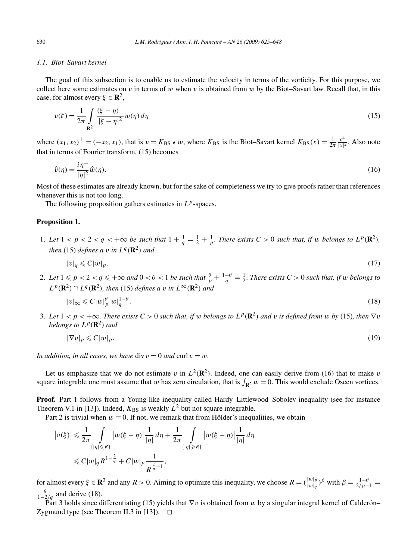## *1.1. Biot–Savart kernel*

The goal of this subsection is to enable us to estimate the velocity in terms of the vorticity. For this purpose, we collect here some estimates on  $v$  in terms of  $w$  when  $v$  is obtained from  $w$  by the Biot–Savart law. Recall that, in this case, for almost every  $\xi \in \mathbb{R}^2$ ,

$$
v(\xi) = \frac{1}{2\pi} \int_{\mathbf{R}^2} \frac{(\xi - \eta)^{\perp}}{|\xi - \eta|^2} w(\eta) d\eta
$$
 (15)

where  $(x_1, x_2)^\perp = (-x_2, x_1)$ , that is  $v = K_{BS} \star w$ , where  $K_{BS}$  is the Biot-Savart kernel  $K_{BS}(x) = \frac{1}{2\pi} \frac{x^\perp}{|x|^2}$ . Also note that in terms of Fourier transform, (15) becomes

$$
\hat{v}(\eta) = \frac{i\eta^{\perp}}{|\eta|^2} \hat{w}(\eta). \tag{16}
$$

Most of these estimates are already known, but for the sake of completeness we try to give proofs rather than references whenever this is not too long.

The following proposition gathers estimates in *Lp*-spaces.

## **Proposition 1.**

1. Let  $1 < p < 2 < q < +\infty$  be such that  $1 + \frac{1}{q} = \frac{1}{2} + \frac{1}{p}$ . There exists  $C > 0$  such that, if w belongs to  $L^p(\mathbb{R}^2)$ , *then* (15) *defines a v in*  $L^q(\mathbb{R}^2)$  *and* 

$$
|v|_q \leq C|w|_p. \tag{17}
$$

2. Let  $1 \leqslant p < 2 < q \leqslant +\infty$  and  $0 < \theta < 1$  be such that  $\frac{\theta}{p} + \frac{1-\theta}{q} = \frac{1}{2}$ . There exists  $C > 0$  such that, if w belongs to  $L^p$ (**R**<sup>2</sup>) ∩ *L*<sup>*q*</sup>(**R**<sup>2</sup>)*, then* (15) *defines a v in*  $L^\infty$ (**R**<sup>2</sup>) *and* 

$$
|v|_{\infty} \leqslant C|w|_{p}^{\theta}|w|_{q}^{1-\theta}.
$$
\n<sup>(18)</sup>

3. Let  $1 < p < +\infty$ . There exists  $C > 0$  such that, if w belongs to  $L^p(\mathbf{R}^2)$  and v is defined from w by (15), then  $\nabla v$ *belongs to*  $L^p(\mathbb{R}^2)$  *and* 

$$
|\nabla v|_p \leqslant C|w|_p. \tag{19}
$$

*In addition, in all cases, we have div*  $v = 0$  *and curl*  $v = w$ *.* 

Let us emphasize that we do not estimate *v* in  $L^2(\mathbb{R}^2)$ . Indeed, one can easily derive from (16) that to make *v* square integrable one must assume that *w* has zero circulation, that is  $\int_{\mathbf{R}^2} w = 0$ . This would exclude Oseen vortices.

**Proof.** Part 1 follows from a Young-like inequality called Hardy–Littlewood–Sobolev inequality (see for instance Theorem V.1 in [13]). Indeed,  $K_{BS}$  is weakly  $L^2$  but not square integrable.

Part 2 is trivial when  $w \equiv 0$ . If not, we remark that from Hölder's inequalities, we obtain

$$
\left|v(\xi)\right| \leq \frac{1}{2\pi} \int_{\{| \eta| \leq R\}} \left|w(\xi - \eta)\right| \frac{1}{|\eta|} d\eta + \frac{1}{2\pi} \int_{\{| \eta| \geq R\}} \left|w(\xi - \eta)\right| \frac{1}{|\eta|} d\eta
$$
  

$$
\leq C|w|_q R^{1 - \frac{2}{q}} + C|w|_p \frac{1}{R^{\frac{2}{p} - 1}},
$$

for almost every  $\xi \in \mathbb{R}^2$  and any  $R > 0$ . Aiming to optimize this inequality, we choose  $R = (\frac{|w|_p}{|w|_q})^{\beta}$  with  $\beta = \frac{1-\theta}{2/p-1}$  $\frac{\theta}{1-2/q}$  and derive (18).

Part 3 holds since differentiating (15) yields that ∇*v* is obtained from *w* by a singular integral kernel of Calderón– Zygmund type (see Theorem II.3 in [13]).  $\Box$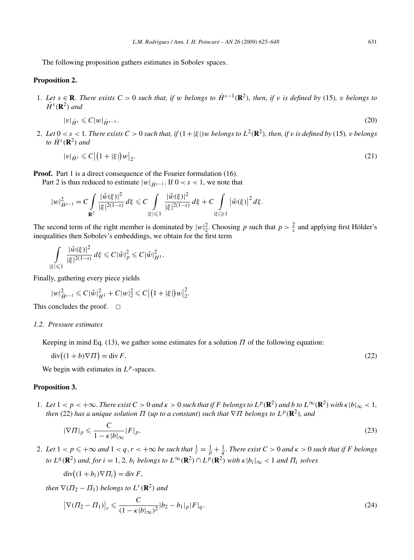The following proposition gathers estimates in Sobolev spaces.

## **Proposition 2.**

1. Let  $s \in \mathbf{R}$ . There exists  $C > 0$  such that, if w belongs to  $\dot{H}^{s-1}(\mathbf{R}^2)$ , then, if v is defined by (15), v belongs to  $\dot{H}^s(\mathbf{R}^2)$  *and* 

$$
|v|_{\dot{H}^s} \leqslant C|w|_{\dot{H}^{s-1}}.\tag{20}
$$

2. Let  $0 < s < 1$ . There exists  $C > 0$  such that, if  $(1 + |\xi|)w$  belongs to  $L^2(\mathbf{R}^2)$ , then, if v is defined by (15), v belongs  $to \dot{H}^s(\mathbf{R}^2)$  *and* 

$$
|v|_{\dot{H}^s} \leqslant C \left| \left( 1 + |\xi| \right) w \right|_2. \tag{21}
$$

**Proof.** Part 1 is a direct consequence of the Fourier formulation (16).

Part 2 is thus reduced to estimate  $|w|_{\dot{H}^{s-1}}$ . If  $0 < s < 1$ , we note that

$$
|w|_{\dot{H}^{s-1}}^2 = C \int\limits_{\mathbf{R}^2} \frac{|\hat{w}(\xi)|^2}{|\xi|^{2(1-s)}} d\xi \leq C \int\limits_{|\xi| \leq 1} \frac{|\hat{w}(\xi)|^2}{|\xi|^{2(1-s)}} d\xi + C \int\limits_{|\xi| \geq 1} |\hat{w}(\xi)|^2 d\xi.
$$

The second term of the right member is dominated by  $|w|_2^2$ . Choosing p such that  $p > \frac{2}{s}$  and applying first Hölder's inequalities then Sobolev's embeddings, we obtain for the first term

$$
\int\limits_{|\xi|\leq 1}\frac{|\hat{w}(\xi)|^2}{|\xi|^{2(1-s)}}\,d\xi\leq C|\hat{w}|_p^2\leq C|\hat{w}|_H^2.
$$

Finally, gathering every piece yields

$$
|w|_{\dot{H}^{s-1}}^2 \leqslant C |\hat{w}|_{H^1}^2 + C|w|_2^2 \leqslant C |(1+|\xi|)w|_2^2.
$$

This concludes the proof.  $\square$ 

## *1.2. Pressure estimates*

Keeping in mind Eq. (13), we gather some estimates for a solution  $\Pi$  of the following equation:

 $div((1+b)\nabla \Pi)$  $=$  div *F*. (22)

We begin with estimates in  $L^p$ -spaces.

## **Proposition 3.**

1. Let  $1 < p < +\infty$ . There exist  $C > 0$  and  $\kappa > 0$  such that if F belongs to  $L^p(\mathbf{R}^2)$  and b to  $L^\infty(\mathbf{R}^2)$  with  $\kappa |b|_\infty < 1$ , *then* (22) *has a unique solution*  $\Pi$  (*up to a constant*) *such that*  $\nabla \Pi$  *belongs to*  $L^p(\mathbf{R}^2)$ *, and* 

$$
|\nabla \Pi|_p \leqslant \frac{C}{1 - \kappa |b|_{\infty}} |F|_p. \tag{23}
$$

2. Let  $1 < p \leqslant +\infty$  and  $1 < q, r < +\infty$  be such that  $\frac{1}{r} = \frac{1}{p} + \frac{1}{q}$ . There exist  $C > 0$  and  $\kappa > 0$  such that if F belongs to  $L^q(\mathbf{R}^2)$  and, for  $i = 1, 2, b_i$  belongs to  $L^\infty(\mathbf{R}^2) \cap L^p(\mathbf{R}^2)$  with  $\kappa |b_i|_\infty < 1$  and  $\Pi_i$  solves

$$
\operatorname{div}\bigl((1+b_i)\nabla\Pi_i\bigr)=\operatorname{div} F,
$$

*then*  $\nabla$ ( $\Pi$ <sub>2</sub> –  $\Pi$ <sub>1</sub>) *belongs to*  $L^r(\mathbb{R}^2)$  *and* 

$$
\left|\nabla(\Pi_2 - \Pi_1)\right|_r \leq \frac{C}{(1 - \kappa |b|_{\infty})^2} |b_2 - b_1|_p |F|_q.
$$
\n(24)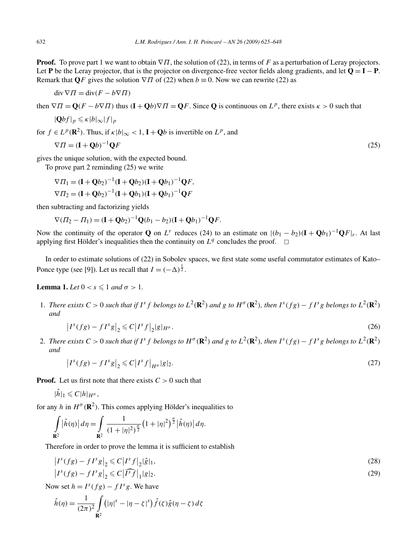**Proof.** To prove part 1 we want to obtain  $\nabla \Pi$ , the solution of (22), in terms of *F* as a perturbation of Leray projectors. Let **P** be the Leray projector, that is the projector on divergence-free vector fields along gradients, and let  $Q = I - P$ . Remark that **Q***F* gives the solution  $\nabla \Pi$  of (22) when  $b \equiv 0$ . Now we can rewrite (22) as

$$
\operatorname{div} \nabla \Pi = \operatorname{div}(F - b \nabla \Pi)
$$

then  $\nabla \Pi = \mathbf{O}(F - b\nabla \Pi)$  thus  $(\mathbf{I} + \mathbf{O}b)\nabla \Pi = \mathbf{O}F$ . Since **O** is continuous on  $L^p$ , there exists  $\kappa > 0$  such that

$$
|\mathbf{Q}bf|_p \leq \kappa |b|_\infty |f|_p
$$

for  $f \in L^p(\mathbb{R}^2)$ . Thus, if  $\kappa |b|_{\infty} < 1$ ,  $\mathbf{I} + \mathbf{O}b$  is invertible on  $L^p$ , and

$$
\nabla \Pi = (\mathbf{I} + \mathbf{Q}b)^{-1} \mathbf{Q}F \tag{25}
$$

gives the unique solution, with the expected bound.

To prove part 2 reminding (25) we write

$$
\nabla \Pi_1 = (\mathbf{I} + \mathbf{Q}b_2)^{-1}(\mathbf{I} + \mathbf{Q}b_2)(\mathbf{I} + \mathbf{Q}b_1)^{-1}\mathbf{Q}F,
$$
  
\n
$$
\nabla \Pi_2 = (\mathbf{I} + \mathbf{Q}b_2)^{-1}(\mathbf{I} + \mathbf{Q}b_1)(\mathbf{I} + \mathbf{Q}b_1)^{-1}\mathbf{Q}F
$$

then subtracting and factorizing yields

$$
\nabla (H_2 - H_1) = (\mathbf{I} + \mathbf{Q}b_2)^{-1} \mathbf{Q}(b_1 - b_2) (\mathbf{I} + \mathbf{Q}b_1)^{-1} \mathbf{Q}F.
$$

Now the continuity of the operator **Q** on *L<sup>r</sup>* reduces (24) to an estimate on  $|(b_1 - b_2)(\mathbf{I} + \mathbf{Q}b_1)^{-1}\mathbf{Q}F|_r$ . At last applying first Hölder's inequalities then the continuity on  $L<sup>q</sup>$  concludes the proof.  $\Box$ 

In order to estimate solutions of (22) in Sobolev spaces, we first state some useful commutator estimates of Kato– Ponce type (see [9]). Let us recall that  $I = (-\Delta)^{\frac{1}{2}}$ .

**Lemma 1.** *Let*  $0 < s \leq 1$  *and*  $\sigma > 1$ *.* 

1. There exists  $C > 0$  such that if  $I^s$  f belongs to  $L^2(\mathbf{R}^2)$  and g to  $H^{\sigma}(\mathbf{R}^2)$ , then  $I^s(fg) - fI^s g$  belongs to  $L^2(\mathbf{R}^2)$ *and*

$$
\left|I^s(fg) - fI^s g\right|_2 \leqslant C\left|I^s f\right|_2 |g|_{H^{\sigma}}.
$$
\n<sup>(26)</sup>

2. There exists  $C > 0$  such that if  $I^s$  f belongs to  $H^{\sigma}(\mathbb{R}^2)$  and g to  $L^2(\mathbb{R}^2)$ , then  $I^s$  (fg)  $- f I^s$  g belongs to  $L^2(\mathbb{R}^2)$ *and*

$$
\left|I^s(fg) - fI^s g\right|_2 \leqslant C \left|I^s f\right|_{H^{\sigma}} |g|_2. \tag{27}
$$

**Proof.** Let us first note that there exists  $C > 0$  such that

$$
|\hat{h}|_1 \leqslant C |h|_{H^{\sigma}},
$$

for any *h* in  $H^{\sigma}(\mathbb{R}^2)$ . This comes applying Hölder's inequalities to

$$
\int_{\mathbf{R}^2} |\hat{h}(\eta)| d\eta = \int_{\mathbf{R}^2} \frac{1}{(1+|\eta|^2)^{\frac{\sigma}{2}}} (1+|\eta|^2)^{\frac{\sigma}{2}} |\hat{h}(\eta)| d\eta.
$$

Therefore in order to prove the lemma it is sufficient to establish

$$
\left| I^{s}(fg) - fI^{s}g \right|_{2} \leq C \left| I^{s}f \right|_{2} |\hat{g}|_{1},
$$
\n
$$
\left| I^{s}(fg) - fI^{s}g \right|_{2} \leq C \left| \widehat{I^{s}f} \right|_{1} |g|_{2}.
$$
\n(29)

Now set  $h = I^s(fg) - fI^s g$ . We have

$$
\hat{h}(\eta) = \frac{1}{(2\pi)^2} \int_{\mathbf{R}^2} (|\eta|^s - |\eta - \zeta|^s) \hat{f}(\zeta) \hat{g}(\eta - \zeta) d\zeta
$$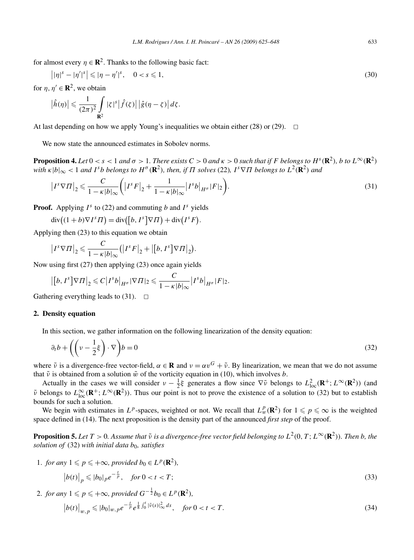for almost every  $\eta \in \mathbb{R}^2$ . Thanks to the following basic fact:

$$
||\eta|^{s} - |\eta'|^{s}| \le |\eta - \eta'|^{s}, \quad 0 < s \le 1,\tag{30}
$$

for  $\eta$ ,  $\eta' \in \mathbb{R}^2$ , we obtain

 $\begin{array}{c} \hline \end{array}$ 

$$
\left|\hat{h}(\eta)\right| \leqslant \frac{1}{(2\pi)^2} \int\limits_{\mathbf{R}^2} |\zeta|^s \left|\hat{f}(\zeta)\right| \left|\hat{g}(\eta-\zeta)\right| d\zeta.
$$

At last depending on how we apply Young's inequalities we obtain either (28) or (29).  $\Box$ 

We now state the announced estimates in Sobolev norms.

**Proposition 4.** Let  $0 < s < 1$  and  $\sigma > 1$ . There exists  $C > 0$  and  $\kappa > 0$  such that if F belongs to  $H^s(\mathbb{R}^2)$ , b to  $L^\infty(\mathbb{R}^2)$ with  $\kappa |b|_{\infty}$  < 1 and I<sup>s</sup>b belongs to H<sup> $\sigma$ </sup> (**R**<sup>2</sup>), then, if  $\Pi$  solves (22), I<sup>s</sup>  $\nabla \Pi$  belongs to  $L^2(\mathbf{R}^2)$  and

$$
\left|I^s \nabla \Pi\right|_2 \leqslant \frac{C}{1 - \kappa |b|_{\infty}} \bigg( \left|I^s F\right|_2 + \frac{1}{1 - \kappa |b|_{\infty}} \left|I^s b\right|_{H^{\sigma}} |F|_2 \bigg). \tag{31}
$$

**Proof.** Applying  $I^s$  to (22) and commuting *b* and  $I^s$  yields

 $\operatorname{div}((1+b)\nabla I^s\Pi) = \operatorname{div}([b, I^s]\nabla\Pi) + \operatorname{div}(I^sF).$ 

Applying then (23) to this equation we obtain

$$
\left|I^s \nabla \Pi\right|_2 \leqslant \frac{C}{1 - \kappa |b|_{\infty}} \left(\left|I^s F\right|_2 + \left|\left[b, I^s\right] \nabla \Pi\right|_2\right).
$$

Now using first (27) then applying (23) once again yields

$$
\left|\left[b, I^s\right] \nabla \Pi\right|_2 \leqslant C \left|I^s b\right|_{H^{\sigma}} \left| \nabla \Pi\right|_2 \leqslant \frac{C}{1 - \kappa |b|_{\infty}} \left|I^s b\right|_{H^{\sigma}} |F|_2.
$$

Gathering everything leads to  $(31)$ .  $\Box$ 

## **2. Density equation**

In this section, we gather information on the following linearization of the density equation:

$$
\partial_t b + \left( \left( v - \frac{1}{2} \xi \right) \cdot \nabla \right) b = 0 \tag{32}
$$

where  $\tilde{\nu}$  is a divergence-free vector-field,  $\alpha \in \mathbf{R}$  and  $\nu = \alpha v^G + \tilde{\nu}$ . By linearization, we mean that we do not assume that  $\tilde{v}$  is obtained from a solution  $\tilde{w}$  of the vorticity equation in (10), which involves *b*.

Actually in the cases we will consider  $v - \frac{1}{2}\xi$  generates a flow since  $\nabla \tilde{v}$  belongs to  $L^2_{loc}(\mathbf{R}^+; L^{\infty}(\mathbf{R}^2))$  (and  $\tilde{\nu}$  belongs to  $L^{\infty}_{loc}(\mathbf{R}^+; L^{\infty}(\mathbf{R}^2))$ . Thus our point is not to prove the existence of a solution to (32) but to establish bounds for such a solution.

We begin with estimates in  $L^p$ -spaces, weighted or not. We recall that  $L^p_w(\mathbf{R}^2)$  for  $1 \leq p \leq \infty$  is the weighted space defined in (14). The next proposition is the density part of the announced *first step* of the proof.

**Proposition 5.** Let  $T > 0$ . Assume that  $\tilde{v}$  is a divergence-free vector field belonging to  $L^2(0, T; L^\infty(\mathbf{R}^2))$ . Then b, the *solution of* (32) *with initial data*  $b_0$ *, satisfies* 

1. for any 
$$
1 \le p \le +\infty
$$
, provided  $b_0 \in L^p(\mathbf{R}^2)$ ,  
\n
$$
\left| b(t) \right|_p \le |b_0|_p e^{-\frac{t}{p}}, \quad \text{for } 0 < t < T;
$$
\n(33)

2. *for any*  $1 \leqslant p \leqslant +\infty$ *, provided*  $G^{-\frac{1}{2}}b_0 \in L^p(\mathbf{R}^2)$ *,* 

$$
\left| b(t) \right|_{w,p} \leqslant |b_0|_{w,p} e^{-\frac{t}{p}} e^{\frac{1}{8} \int_0^t |\tilde{v}(s)|_\infty^2 ds}, \quad \text{for } 0 < t < T. \tag{34}
$$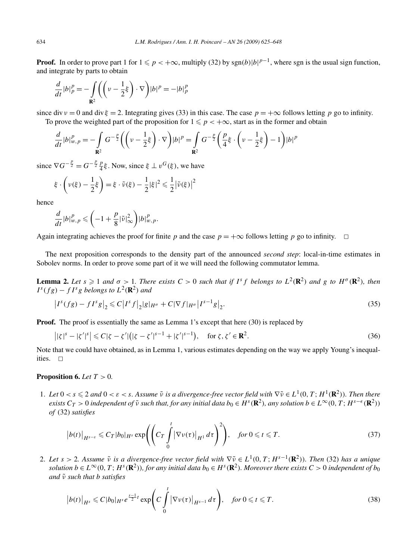**Proof.** In order to prove part 1 for  $1 \leq p < +\infty$ , multiply (32) by sgn(b)|b|<sup>p-1</sup>, where sgn is the usual sign function, and integrate by parts to obtain

$$
\frac{d}{dt}|b|_p^p = -\int_{\mathbf{R}^2} \left( \left( \nu - \frac{1}{2}\xi \right) \cdot \nabla \right) |b|^p = -|b|_p^p
$$

since div *v* = 0 and div  $\xi$  = 2. Integrating gives (33) in this case. The case  $p = +\infty$  follows letting *p* go to infinity. To prove the weighted part of the proposition for  $1 \leq p < +\infty$ , start as in the former and obtain

$$
\frac{d}{dt}|b|_{w,p}^p = -\int_{\mathbf{R}^2} G^{-\frac{p}{2}} \left( \left( v - \frac{1}{2} \xi \right) \cdot \nabla \right) |b|^p = \int_{\mathbf{R}^2} G^{-\frac{p}{2}} \left( \frac{p}{4} \xi \cdot \left( v - \frac{1}{2} \xi \right) - 1 \right) |b|^p
$$

since  $\nabla G^{-\frac{p}{2}} = G^{-\frac{p}{2}} \frac{p}{4} \xi$ . Now, since  $\xi \perp v^G(\xi)$ , we have

$$
\xi \cdot \left(\nu(\xi) - \frac{1}{2}\xi\right) = \xi \cdot \tilde{\nu}(\xi) - \frac{1}{2}|\xi|^2 \leq \frac{1}{2}|\tilde{\nu}(\xi)|^2
$$

hence

$$
\frac{d}{dt}|b|_{w,p}^p \leqslant \left(-1+\frac{p}{8}|\tilde{v}|_\infty^2\right)|b|_{w,p}^p.
$$

Again integrating achieves the proof for finite *p* and the case  $p = +\infty$  follows letting *p* go to infinity.  $\Box$ 

The next proposition corresponds to the density part of the announced *second step*: local-in-time estimates in Sobolev norms. In order to prove some part of it we will need the following commutator lemma.

**Lemma 2.** Let  $s \ge 1$  and  $\sigma > 1$ . There exists  $C > 0$  such that if  $I^s f$  belongs to  $L^2(\mathbf{R}^2)$  and g to  $H^{\sigma}(\mathbf{R}^2)$ , then  $I^s(fg) - fI^s g$  *belongs to*  $L^2(\mathbb{R}^2)$  *and* 

$$
\left|I^{s}(fg) - fI^{s}g\right|_{2} \leq C\left|I^{s}f\right|_{2}|g|_{H^{\sigma}} + C|\nabla f|_{H^{\sigma}}\left|I^{s-1}g\right|_{2}.
$$
\n(35)

**Proof.** The proof is essentially the same as Lemma 1's except that here (30) is replaced by

$$
\left| |\zeta|^s - |\zeta'|^s \right| \leqslant C|\zeta - \zeta'| \left( |\zeta - \zeta'|^{s-1} + |\zeta'|^{s-1} \right), \quad \text{for } \zeta, \zeta' \in \mathbf{R}^2. \tag{36}
$$

Note that we could have obtained, as in Lemma 1, various estimates depending on the way we apply Young's inequalities.  $\square$ 

#### **Proposition 6.** *Let T >* 0*.*

1. Let  $0 < s \leq 2$  and  $0 < \varepsilon < s$ . Assume  $\tilde{\nu}$  is a divergence-free vector field with  $\nabla \tilde{\nu} \in L^1(0,T;H^1(\mathbf{R}^2))$ . Then there exists  $C_T > 0$  independent of  $\tilde{\nu}$  such that, for any initial data  $b_0 \in H^s(\mathbf{R}^2)$ , any solution  $b \in L^{\infty}(0, T; H^{s-\epsilon}(\mathbf{R}^2))$ *of* (32) *satisfies*

$$
\left|b(t)\right|_{H^{s-\varepsilon}} \leqslant C_T |b_0|_{H^s} \exp\left(\left(C_T \int\limits_0^t \left|\nabla v(\tau)\right|_{H^1} d\tau\right)^2\right), \quad \text{for } 0 \leqslant t \leqslant T. \tag{37}
$$

2. Let  $s > 2$ . Assume  $\tilde{v}$  *is a divergence-free vector field with*  $\nabla \tilde{v} \in L^1(0, T; H^{s-1}(\mathbf{R}^2))$ *. Then* (32) has a unique solution  $b \in L^{\infty}(0,T; H^s(\mathbf{R}^2))$ , for any initial data  $b_0 \in H^s(\mathbf{R}^2)$ . Moreover there exists  $C > 0$  independent of  $b_0$ *and ν*˜ *such that b satisfies*

$$
\left|b(t)\right|_{H^s} \leqslant C|b_0|_{H^s} e^{\frac{s-1}{2}t} \exp\left(C\int\limits_0^t \left|\nabla v(\tau)\right|_{H^{s-1}} d\tau\right), \quad \text{for } 0 \leqslant t \leqslant T. \tag{38}
$$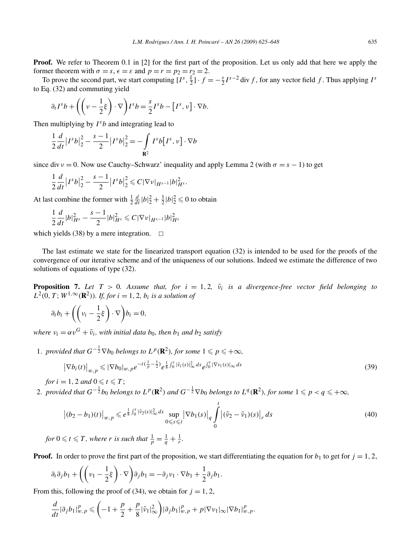**Proof.** We refer to Theorem 0.1 in [2] for the first part of the proposition. Let us only add that here we apply the former theorem with  $\sigma = s$ ,  $\epsilon = \epsilon$  and  $p = r = p_2 = r_2 = 2$ .

To prove the second part, we start computing  $[I^s, \frac{\xi}{2}] \cdot f = -\frac{s}{2} I^{s-2}$  div *f*, for any vector field *f*. Thus applying  $I^s$ to Eq. (32) and commuting yield

$$
\partial_t I^s b + \left( \left( \nu - \frac{1}{2} \xi \right) \cdot \nabla \right) I^s b = \frac{s}{2} I^s b - \left[ I^s, \nu \right] \cdot \nabla b.
$$

Then multiplying by  $I^s b$  and integrating lead to

$$
\frac{1}{2}\frac{d}{dt}\left|I^{s}b\right|_{2}^{2} - \frac{s-1}{2}\left|I^{s}b\right|_{2}^{2} = -\int_{\mathbf{R}^{2}} I^{s}b\left[I^{s}, v\right] \cdot \nabla b
$$

since div *v* = 0. Now use Cauchy–Schwarz' inequality and apply Lemma 2 (with  $\sigma = s - 1$ ) to get

$$
\frac{1}{2}\frac{d}{dt}\left|I^{s}b\right|_{2}^{2}-\frac{s-1}{2}\left|I^{s}b\right|_{2}^{2} \leqslant C|\nabla v|_{H^{s-1}}|b|_{H^{s}}^{2}.
$$

At last combine the former with  $\frac{1}{2} \frac{d}{dt} |b|_2^2 + \frac{1}{2} |b|_2^2 \le 0$  to obtain

$$
\frac{1}{2}\frac{d}{dt}|b|_{H^s}^2 - \frac{s-1}{2}|b|_{H^s}^2 \leqslant C|\nabla v|_{H^{s-1}}|b|_{H^s}^2
$$

which yields (38) by a mere integration.  $\Box$ 

The last estimate we state for the linearized transport equation (32) is intended to be used for the proofs of the convergence of our iterative scheme and of the uniqueness of our solutions. Indeed we estimate the difference of two solutions of equations of type (32).

**Proposition 7.** Let  $T > 0$ . Assume that, for  $i = 1, 2, \tilde{\nu}_i$  is a divergence-free vector field belonging to  $L^2(0, T; W^{1, \infty}(\mathbb{R}^2))$ *. If, for*  $i = 1, 2, b_i$  *is a solution of* 

$$
\partial_t b_i + \left( \left( v_i - \frac{1}{2} \xi \right) \cdot \nabla \right) b_i = 0,
$$

*where*  $v_i = \alpha v^G + \tilde{v}_i$ *, with initial data*  $b_0$ *, then*  $b_1$  *and*  $b_2$  *satisfy* 

1. *provided that*  $G^{-\frac{1}{2}}\nabla b_0$  *belongs to*  $L^p(\mathbf{R}^2)$ *, for some*  $1 \leqslant p \leqslant +\infty$ *,* 

$$
\left|\nabla b_{i}(t)\right|_{w,p} \leqslant \left|\nabla b_{0}\right|_{w,p} e^{-t\left(\frac{1}{p}-\frac{1}{2}\right)} e^{\frac{1}{8}\int_{0}^{t}|\tilde{\nu}_{i}(s)|^{2}_{\infty}ds} e^{\int_{0}^{t}|\nabla \nu_{i}(s)|_{\infty}ds}
$$
\n(39)

*for*  $i = 1, 2$  *and*  $0 \leq t \leq T$ ;

2. provided that  $G^{-\frac{1}{2}}b_0$  belongs to  $L^p(\mathbf{R}^2)$  and  $G^{-\frac{1}{2}}\nabla b_0$  belongs to  $L^q(\mathbf{R}^2)$ , for some  $1\leqslant p< q\leqslant +\infty,$ 

$$
\left| (b_2 - b_1)(t) \right|_{w,p} \leqslant e^{\frac{1}{8} \int_0^t |\tilde{\nu}_2(s)|^2_{\infty} ds} \sup_{0 \leqslant s \leqslant t} \left| \nabla b_1(s) \right|_q \int_0^t \left| (\tilde{\nu}_2 - \tilde{\nu}_1)(s) \right|_r ds \tag{40}
$$

*for*  $0 \leq t \leq T$ , where *r is such that*  $\frac{1}{p} = \frac{1}{q} + \frac{1}{r}$ .

**Proof.** In order to prove the first part of the proposition, we start differentiating the equation for  $b_1$  to get for  $j = 1, 2$ ,

$$
\partial_t \partial_j b_1 + \left( \left( \nu_1 - \frac{1}{2} \xi \right) \cdot \nabla \right) \partial_j b_1 = -\partial_j \nu_1 \cdot \nabla b_1 + \frac{1}{2} \partial_j b_1.
$$

From this, following the proof of  $(34)$ , we obtain for  $j = 1, 2$ ,

$$
\frac{d}{dt}|\partial_j b_1|_{w,p}^p \leqslant \bigg(-1+\frac{p}{2}+\frac{p}{8}|\tilde{v}_1|_{\infty}^2\bigg)|\partial_j b_1|_{w,p}^p+p|\nabla v_1|_{\infty}|\nabla b_1|_{w,p}^p.
$$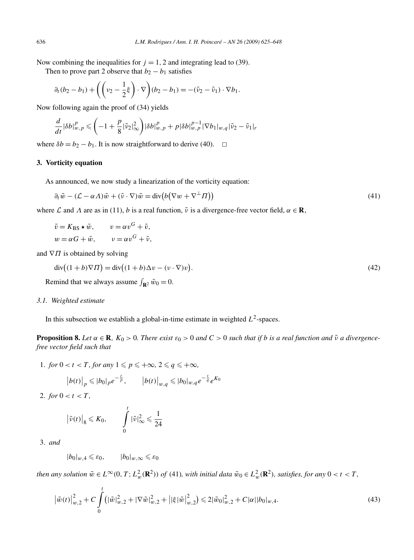Now combining the inequalities for  $j = 1, 2$  and integrating lead to (39).

Then to prove part 2 observe that  $b_2 - b_1$  satisfies

$$
\partial_t (b_2 - b_1) + \left( \left( \nu_2 - \frac{1}{2} \xi \right) \cdot \nabla \right) (b_2 - b_1) = -(\tilde{\nu}_2 - \tilde{\nu}_1) \cdot \nabla b_1.
$$

Now following again the proof of (34) yields

$$
\frac{d}{dt}|\delta b|_{w,p}^p\leqslant\left(-1+\frac{p}{8}|\tilde{\nu}_2|_\infty^2\right)|\delta b|_{w,p}^p+p|\delta b|_{w,p}^{p-1}|\nabla b_1|_{w,q}|\tilde{\nu}_2-\tilde{\nu}_1|_r
$$

where  $\delta b = b_2 - b_1$ . It is now straightforward to derive (40).  $\Box$ 

## **3. Vorticity equation**

As announced, we now study a linearization of the vorticity equation:

$$
\partial_t \tilde{w} - (\mathcal{L} - \alpha \Lambda) \tilde{w} + (\tilde{v} \cdot \nabla) \tilde{w} = \text{div} \big( b \big( \nabla w + \nabla^{\perp} \Pi \big) \big) \tag{41}
$$

where  $\mathcal L$  and  $\Lambda$  are as in (11), *b* is a real function,  $\tilde{\nu}$  is a divergence-free vector field,  $\alpha \in \mathbb{R}$ ,

$$
\tilde{v} = K_{\text{BS}} \star \tilde{w}, \qquad v = \alpha v^G + \tilde{v},
$$
  

$$
w = \alpha G + \tilde{w}, \qquad v = \alpha v^G + \tilde{v},
$$

and  $∇$ *Π* is obtained by solving

$$
\operatorname{div}\left((1+b)\nabla\Pi\right) = \operatorname{div}\left((1+b)\Delta v - (v\cdot\nabla)v\right). \tag{42}
$$

Remind that we always assume  $\int_{\mathbf{R}^2} \tilde{w}_0 = 0$ .

#### *3.1. Weighted estimate*

In this subsection we establish a global-in-time estimate in weighted  $L^2$ -spaces.

**Proposition 8.** Let  $\alpha \in \mathbb{R}$ ,  $K_0 > 0$ . There exist  $\varepsilon_0 > 0$  and  $C > 0$  such that if b is a real function and  $\tilde{v}$  a divergence*free vector field such that*

1. *for*  $0 < t < T$ *, for any*  $1 \leq p \leq +\infty$ ,  $2 \leq q \leq +\infty$ ,

$$
|b(t)|_{p} \leqslant |b_{0}|_{p} e^{-\frac{t}{p}}, \qquad |b(t)|_{w,q} \leqslant |b_{0}|_{w,q} e^{-\frac{t}{q}} e^{K_{0}}
$$

2. *for*  $0 < t < T$ ,

$$
\left|\tilde{\nu}(t)\right|_{8} \leqslant K_{0}, \qquad \int\limits_{0}^{t} |\tilde{\nu}|_{\infty}^{2} \leqslant \frac{1}{24}
$$

3. *and*

 $|b_0|_{w,4} \leq \varepsilon_0$ ,  $|b_0|_{w,\infty} \leq \varepsilon_0$ 

then any solution  $\tilde{w} \in L^{\infty}(0, T; L^2_w(\mathbf{R}^2))$  of (41), with initial data  $\tilde{w}_0 \in L^2_w(\mathbf{R}^2)$ , satisfies, for any  $0 < t < T$ ,

$$
\left|\tilde{w}(t)\right|_{w,2}^{2} + C \int_{0}^{t} \left(|\tilde{w}|_{w,2}^{2} + |\nabla \tilde{w}|_{w,2}^{2} + \left| |\xi| \tilde{w} \right|_{w,2}^{2}\right) \leq 2|\tilde{w}_{0}|_{w,2}^{2} + C|\alpha||b_{0}|_{w,4}.
$$
\n(43)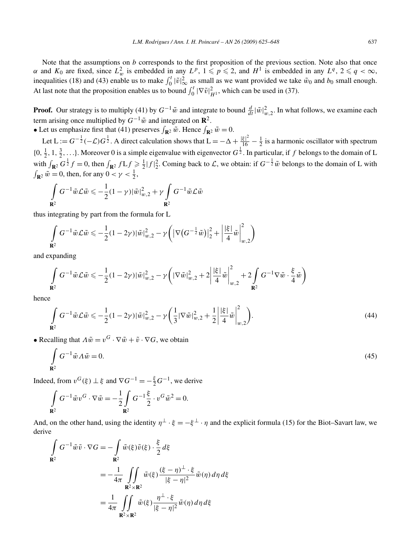Note that the assumptions on *b* corresponds to the first proposition of the previous section. Note also that once *α* and  $K_0$  are fixed, since  $L^2_w$  is embedded in any  $L^p$ ,  $1 \leqslant p \leqslant 2$ , and  $H^1$  is embedded in any  $L^q$ ,  $2 \leqslant q < \infty$ , inequalities (18) and (43) enable us to make  $\int_0^t |\tilde{v}|_\infty^2$  as small as we want provided we take  $\tilde{w}_0$  and  $b_0$  small enough. At last note that the proposition enables us to bound  $\int_0^t |\nabla \tilde{v}|^2_{H^1}$ , which can be used in (37).

**Proof.** Our strategy is to multiply (41) by  $G^{-1}\tilde{w}$  and integrate to bound  $\frac{d}{dt}|\tilde{w}|_{w,2}^2$ . In what follows, we examine each term arising once multiplied by  $G^{-1}\tilde{w}$  and integrated on  $\mathbb{R}^2$ .

• Let us emphasize first that (41) preserves  $\int_{\mathbf{R}^2} \tilde{w}$ . Hence  $\int_{\mathbf{R}^2} \tilde{w} = 0$ .

Let  $L := G^{-\frac{1}{2}}(-\mathcal{L})G^{\frac{1}{2}}$ . A direct calculation shows that  $L = -\Delta + \frac{|\xi|^2}{16} - \frac{1}{2}$  is a harmonic oscillator with spectrum  $\{0, \frac{1}{2}, 1, \frac{3}{2}, \ldots\}$ . Moreover 0 is a simple eigenvalue with eigenvector  $G^{\frac{1}{2}}$ . In particular, if *f* belongs to the domain of L with  $\int_{\mathbf{R}^2} G^{\frac{1}{2}} f = 0$ , then  $\int_{\mathbf{R}^2} f L f \ge \frac{1}{2} |f|^2$ . Coming back to  $\mathcal{L}$ , we obtain: if  $G^{-\frac{1}{2}} \tilde{w}$  belongs to the domain of L with  $\int_{\mathbf{R}^2} \tilde{w} = 0$ , then, for any  $0 < \gamma < \frac{1}{2}$ ,

$$
\int\limits_{\mathbf{R}^2} G^{-1} \tilde{w} \mathcal{L} \tilde{w} \leqslant -\frac{1}{2} (1-\gamma) |\tilde{w}|^2_{w,2} + \gamma \int\limits_{\mathbf{R}^2} G^{-1} \tilde{w} \mathcal{L} \tilde{w}
$$

thus integrating by part from the formula for L

$$
\int_{\mathbf{R}^2} G^{-1} \tilde{w} \mathcal{L} \tilde{w} \leqslant -\frac{1}{2} (1 - 2\gamma) |\tilde{w}|_{w,2}^2 - \gamma \left( \left| \nabla \left( G^{-\frac{1}{2}} \tilde{w} \right) \right|_2^2 + \left| \frac{|\xi|}{4} \tilde{w} \right|_{w,2}^2 \right)
$$

and expanding

$$
\int\limits_{\mathbf{R}^2}G^{-1}\tilde{w}\mathcal{L}\tilde{w}\leqslant-\frac{1}{2}(1-2\gamma)|\tilde{w}|_{w,2}^2-\gamma\bigg(|\nabla \tilde{w}|_{w,2}^2+2\bigg|\frac{|\xi|}{4}\tilde{w}\bigg|^2_{w,2}+2\int\limits_{\mathbf{R}^2}G^{-1}\nabla \tilde{w}\cdot\frac{\xi}{4}\tilde{w}\bigg)
$$

hence

$$
\int_{\mathbf{R}^2} G^{-1} \tilde{w} \mathcal{L} \tilde{w} \leq -\frac{1}{2} (1 - 2\gamma) |\tilde{w}|_{w,2}^2 - \gamma \left( \frac{1}{3} |\nabla \tilde{w}|_{w,2}^2 + \frac{1}{2} \left| \frac{|\xi|}{4} \tilde{w} \right|_{w,2}^2 \right). \tag{44}
$$

• Recalling that  $\Lambda \tilde{w} = v^G \cdot \nabla \tilde{w} + \tilde{v} \cdot \nabla G$ , we obtain

$$
\int_{\mathbf{R}^2} G^{-1} \tilde{w} \Lambda \tilde{w} = 0. \tag{45}
$$

Indeed, from  $v^G(\xi) \perp \xi$  and  $\nabla G^{-1} = -\frac{\xi}{2} G^{-1}$ , we derive

$$
\int\limits_{\mathbf{R}^2} G^{-1} \tilde{w} v^G \cdot \nabla \tilde{w} = -\frac{1}{2} \int\limits_{\mathbf{R}^2} G^{-1} \frac{\xi}{2} \cdot v^G \tilde{w}^2 = 0.
$$

And, on the other hand, using the identity  $\eta^{\perp} \cdot \xi = -\xi^{\perp} \cdot \eta$  and the explicit formula (15) for the Biot–Savart law, we derive

$$
\int_{\mathbf{R}^2} G^{-1} \tilde{w} \tilde{v} \cdot \nabla G = -\int_{\mathbf{R}^2} \tilde{w}(\xi) \tilde{v}(\xi) \cdot \frac{\xi}{2} d\xi
$$
\n
$$
= -\frac{1}{4\pi} \int_{\mathbf{R}^2 \times \mathbf{R}^2} \tilde{w}(\xi) \frac{(\xi - \eta)^{\perp} \cdot \xi}{|\xi - \eta|^2} \tilde{w}(\eta) d\eta d\xi
$$
\n
$$
= \frac{1}{4\pi} \int_{\mathbf{R}^2 \times \mathbf{R}^2} \tilde{w}(\xi) \frac{\eta^{\perp} \cdot \xi}{|\xi - \eta|^2} \tilde{w}(\eta) d\eta d\xi
$$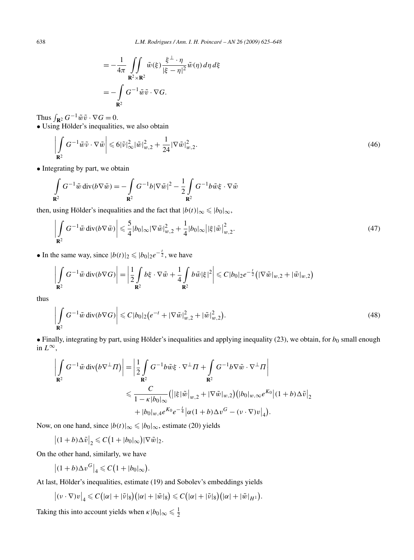$$
= -\frac{1}{4\pi} \iint\limits_{\mathbf{R}^2 \times \mathbf{R}^2} \tilde{w}(\xi) \frac{\xi^{\perp} \cdot \eta}{|\xi - \eta|^2} \tilde{w}(\eta) d\eta d\xi
$$
  
= 
$$
- \int\limits_{\mathbf{R}^2} G^{-1} \tilde{w} \tilde{v} \cdot \nabla G.
$$

Thus  $\int_{\mathbf{R}^2} G^{-1} \tilde{w} \tilde{v} \cdot \nabla G = 0.$ 

• Using Hölder's inequalities, we also obtain

$$
\left| \int_{\mathbf{R}^2} G^{-1} \tilde{w} \tilde{v} \cdot \nabla \tilde{w} \right| \leqslant 6|\tilde{v}|_{\infty}^2 |\tilde{w}|_{w,2}^2 + \frac{1}{24} |\nabla \tilde{w}|_{w,2}^2.
$$
\n
$$
(46)
$$

• Integrating by part, we obtain

$$
\int_{\mathbf{R}^2} G^{-1} \tilde{w} \operatorname{div}(b \nabla \tilde{w}) = -\int_{\mathbf{R}^2} G^{-1} b |\nabla \tilde{w}|^2 - \frac{1}{2} \int_{\mathbf{R}^2} G^{-1} b \tilde{w} \xi \cdot \nabla \tilde{w}
$$

then, using Hölder's inequalities and the fact that  $|b(t)|_{\infty} \leqslant |b_0|_{\infty}$ ,

$$
\left| \int\limits_{\mathbf{R}^2} G^{-1} \tilde{w} \operatorname{div}(b \nabla \tilde{w}) \right| \leq \frac{5}{4} |b_0|_\infty |\nabla \tilde{w}|_{w,2}^2 + \frac{1}{4} |b_0|_\infty \left| |\xi| \tilde{w} \right|_{w,2}^2. \tag{47}
$$

• In the same way, since  $|b(t)|_2 \leq |b_0|_2 e^{-\frac{t}{2}}$ , we have

$$
\left|\int\limits_{\mathbf{R}^2} G^{-1}\tilde{w} \operatorname{div}(b\nabla G)\right| = \left|\frac{1}{2}\int\limits_{\mathbf{R}^2} b\xi \cdot \nabla \tilde{w} + \frac{1}{4}\int\limits_{\mathbf{R}^2} b\tilde{w}|\xi|^2\right| \leqslant C|b_0|_2e^{-\frac{t}{2}}\left(|\nabla \tilde{w}|_{w,2} + |\tilde{w}|_{w,2}\right)
$$

thus

$$
\left| \int_{\mathbf{R}^2} G^{-1} \tilde{w} \operatorname{div} (b \nabla G) \right| \leqslant C |b_0|_2 \big( e^{-t} + |\nabla \tilde{w}|_{w,2}^2 + |\tilde{w}|_{w,2}^2 \big).
$$
\n(48)

• Finally, integrating by part, using Hölder's inequalities and applying inequality  $(23)$ , we obtain, for  $b_0$  small enough in  $L^{\infty}$ ,

$$
\left| \int_{\mathbf{R}^2} G^{-1} \tilde{w} \operatorname{div} (b \nabla^{\perp} \Pi) \right| = \left| \frac{1}{2} \int_{\mathbf{R}^2} G^{-1} b \tilde{w} \xi \cdot \nabla^{\perp} \Pi + \int_{\mathbf{R}^2} G^{-1} b \nabla \tilde{w} \cdot \nabla^{\perp} \Pi \right|
$$
  

$$
\leqslant \frac{C}{1 - \kappa |b_0|_{\infty}} \left( \left| |\xi| \tilde{w} \right|_{w,2} + \left| \nabla \tilde{w} \right|_{w,2} \right) \left( |b_0|_{w,\infty} e^{K_0} \left| (1+b) \Delta \tilde{v} \right|_{2} + |b_0|_{w,4} e^{K_0} e^{-\frac{t}{4}} \left| \alpha (1+b) \Delta v^G - (\nu \cdot \nabla) v \right|_4 \right).
$$

Now, on one hand, since  $|b(t)|_{\infty} \leqslant |b_0|_{\infty}$ , estimate (20) yields

 $|(1+b)\Delta\tilde{v}|_2 \leqslant C(1+|b_0|_{\infty})|\nabla\tilde{w}|_2.$ 

On the other hand, similarly, we have

$$
\left| (1+b)\Delta v^G \right|_4 \leqslant C\big(1+|b_0|_\infty\big).
$$

At last, Hölder's inequalities, estimate (19) and Sobolev's embeddings yields

$$
|(\nu\cdot\nabla)v|_4 \leqslant C(|\alpha|+|\tilde{\nu}|_8)(|\alpha|+|\tilde{\omega}|_8) \leqslant C(|\alpha|+|\tilde{\nu}|_8)(|\alpha|+|\tilde{\omega}|_{H^1}).
$$

Taking this into account yields when  $\kappa |b_0|_{\infty} \leq \frac{1}{2}$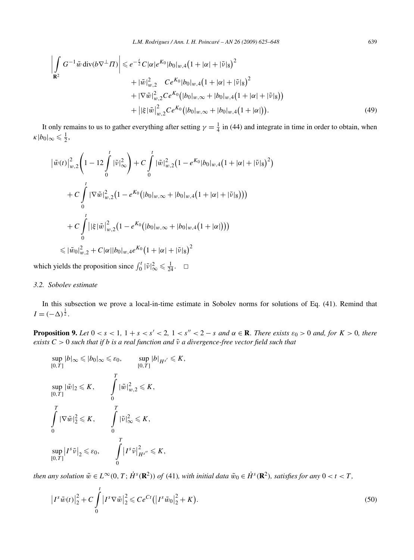$$
\left| \int_{\mathbf{R}^2} G^{-1} \tilde{w} \operatorname{div}(b \nabla^{\perp} \Pi) \right| \leqslant e^{-\frac{t}{2}} C |\alpha| e^{K_0} |b_0|_{w,4} (1 + |\alpha| + |\tilde{v}|_8)^2 \n+ |\tilde{w}|_{w,2}^2 C e^{K_0} |b_0|_{w,4} (1 + |\alpha| + |\tilde{v}|_8)^2 \n+ |\nabla \tilde{w}|_{w,2}^2 C e^{K_0} (|b_0|_{w,\infty} + |b_0|_{w,4} (1 + |\alpha| + |\tilde{v}|_8)) \n+ |\xi| \tilde{w}|_{w,2}^2 C e^{K_0} (|b_0|_{w,\infty} + |b_0|_{w,4} (1 + |\alpha|)). \tag{49}
$$

It only remains to us to gather everything after setting  $\gamma = \frac{1}{4}$  in (44) and integrate in time in order to obtain, when  $\kappa |b_0|_{\infty} \leqslant \frac{1}{2},$ 

$$
\left| \tilde{w}(t) \right|_{w,2}^{2} \left( 1 - 12 \int_{0}^{t} |\tilde{v}|_{\infty}^{2} \right) + C \int_{0}^{t} |\tilde{w}|_{w,2}^{2} (1 - e^{K_{0}} |b_{0}|_{w,4} (1 + |\alpha| + |\tilde{v}|_{8})^{2})
$$
  
+ 
$$
C \int_{0}^{t} |\nabla \tilde{w}|_{w,2}^{2} (1 - e^{K_{0}} (|b_{0}|_{w,\infty} + |b_{0}|_{w,4} (1 + |\alpha| + |\tilde{v}|_{8})))
$$
  
+ 
$$
C \int_{0}^{t} | |\xi| \tilde{w}|_{w,2}^{2} (1 - e^{K_{0}} (|b_{0}|_{w,\infty} + |b_{0}|_{w,4} (1 + |\alpha|)))
$$
  
\$\leq | \tilde{w}\_{0}|\_{w,2}^{2} + C |\alpha| |b\_{0}|\_{w,4} e^{K\_{0}} (1 + |\alpha| + |\tilde{v}|\_{8})^{2}

which yields the proposition since  $\int_0^t |\tilde{v}|_\infty^2 \leq \frac{1}{24}$ .  $\Box$ 

## *3.2. Sobolev estimate*

In this subsection we prove a local-in-time estimate in Sobolev norms for solutions of Eq. (41). Remind that  $I = (-\Delta)^{\frac{1}{2}}$ .

**Proposition 9.** Let  $0 < s < 1$ ,  $1 + s < s' < 2$ ,  $1 < s'' < 2 - s$  and  $\alpha \in \mathbb{R}$ . There exists  $\varepsilon_0 > 0$  and, for  $K > 0$ , there *exists*  $C > 0$  *such that if b is a real function and*  $\tilde{v}$  *a divergence-free vector field such that* 

$$
\sup_{[0,T]} |b|_{\infty} \leq |b_0|_{\infty} \leq \varepsilon_0, \qquad \sup_{[0,T]} |b|_{H^{s'}} \leq K,
$$
  
\n
$$
\sup_{[0,T]} |\tilde{w}|_2 \leq K, \qquad \int_0^T |\tilde{w}|_{w,2}^2 \leq K,
$$
  
\n
$$
\int_0^T |\nabla \tilde{w}|_2^2 \leq K, \qquad \int_0^T |\tilde{v}|_{\infty}^2 \leq K,
$$
  
\n
$$
\sup_{[0,T]} |I^s \tilde{v}|_2 \leq \varepsilon_0, \qquad \int_0^T |I^s \tilde{v}|_{H^{s''}}^2 \leq K,
$$

then any solution  $\tilde{w} \in L^{\infty}(0, T; \dot{H}^s(\mathbf{R}^2))$  of (41), with initial data  $\tilde{w}_0 \in \dot{H}^s(\mathbf{R}^2)$ , satisfies for any  $0 < t < T$ ,

$$
\left|I^{s}\tilde{w}(t)\right|_{2}^{2} + C\int_{0}^{t} \left|I^{s}\nabla\tilde{w}\right|_{2}^{2} \leq Ce^{Ct}\left(\left|I^{s}\tilde{w}_{0}\right|_{2}^{2} + K\right). \tag{50}
$$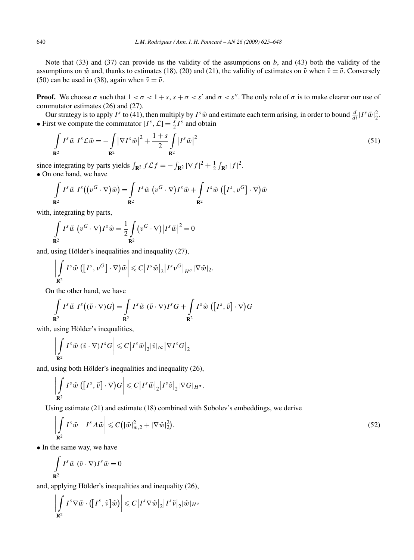Note that (33) and (37) can provide us the validity of the assumptions on *b*, and (43) both the validity of the assumptions on  $\tilde{w}$  and, thanks to estimates (18), (20) and (21), the validity of estimates on  $\tilde{v}$  when  $\tilde{v} = \tilde{v}$ . Conversely (50) can be used in (38), again when  $\tilde{v} = \tilde{v}$ .

**Proof.** We choose  $\sigma$  such that  $1 < \sigma < 1 + s$ ,  $s + \sigma < s'$  and  $\sigma < s''$ . The only role of  $\sigma$  is to make clearer our use of commutator estimates (26) and (27).

Our strategy is to apply *I*<sup>s</sup> to (41), then multiply by *I*<sup>s</sup>  $\tilde{w}$  and estimate each term arising, in order to bound  $\frac{d}{dt} |I^s \tilde{w}|_2^2$ . • First we compute the commutator  $[I^s, \mathcal{L}] = \frac{s}{2}I^s$  and obtain

$$
\int_{\mathbf{R}^2} I^s \tilde{w} I^s \mathcal{L} \tilde{w} = -\int_{\mathbf{R}^2} |\nabla I^s \tilde{w}|^2 + \frac{1+s}{2} \int_{\mathbf{R}^2} |I^s \tilde{w}|^2 \tag{51}
$$

since integrating by parts yields  $\int_{\mathbf{R}^2} f \mathcal{L} f = -\int_{\mathbf{R}^2} |\nabla f|^2 + \frac{1}{2} \int_{\mathbf{R}^2} |f|^2$ . • On one hand, we have

$$
\int_{\mathbf{R}^2} I^s \tilde{w} I^s ((v^G \cdot \nabla) \tilde{w}) = \int_{\mathbf{R}^2} I^s \tilde{w} (v^G \cdot \nabla) I^s \tilde{w} + \int_{\mathbf{R}^2} I^s \tilde{w} ([I^s, v^G] \cdot \nabla) \tilde{w}
$$

with, integrating by parts,

$$
\int_{\mathbf{R}^2} I^s \tilde{w} \, (v^G \cdot \nabla) I^s \tilde{w} = \frac{1}{2} \int_{\mathbf{R}^2} (v^G \cdot \nabla) |I^s \tilde{w}|^2 = 0
$$

and, using Hölder's inequalities and inequality (27),

$$
\left|\int\limits_{\mathbf{R}^2} I^s \tilde{w} \left( \left[ I^s, v^G \right] \cdot \nabla \right) \tilde{w} \right| \leqslant C \left| I^s \tilde{w} \right|_2 \left| I^s v^G \right|_{H^{\sigma}} |\nabla \tilde{w}|_2.
$$

On the other hand, we have

$$
\int_{\mathbf{R}^2} I^s \tilde{w} I^s ((\tilde{v} \cdot \nabla) G) = \int_{\mathbf{R}^2} I^s \tilde{w} (\tilde{v} \cdot \nabla) I^s G + \int_{\mathbf{R}^2} I^s \tilde{w} ([I^s, \tilde{v}] \cdot \nabla) G
$$

with, using Hölder's inequalities,

$$
\left|\int\limits_{\mathbf{R}^2} I^s \tilde{w} \; (\tilde{v} \cdot \nabla) I^s G\right| \leqslant C \left| I^s \tilde{w} \right|_2 |\tilde{v}|_\infty \left| \nabla I^s G \right|_2
$$

and, using both Hölder's inequalities and inequality (26),

$$
\left|\int\limits_{\mathbf{R}^2} I^s \tilde{w} \left( \left[ I^s, \tilde{v} \right] \cdot \nabla \right) G \right| \leqslant C \left| I^s \tilde{w} \right|_2 \left| I^s \tilde{v} \right|_2 |\nabla G|_{H^{\sigma}}.
$$

Using estimate (21) and estimate (18) combined with Sobolev's embeddings, we derive

$$
\left| \int_{\mathbf{R}^2} I^s \tilde{w} \quad I^s \Lambda \tilde{w} \right| \leqslant C \left( |\tilde{w}|_{w,2}^2 + |\nabla \tilde{w}|_2^2 \right).
$$
\n<sup>(52)</sup>

• In the same way, we have

$$
\int_{\mathbf{R}^2} I^s \tilde{w} \left( \tilde{v} \cdot \nabla \right) I^s \tilde{w} = 0
$$

and, applying Hölder's inequalities and inequality (26),

$$
\left| \int_{\mathbf{R}^2} I^s \nabla \tilde{w} \cdot \left( \left[ I^s, \tilde{\nu} \right] \tilde{w} \right) \right| \leqslant C \left| I^s \nabla \tilde{w} \right|_2 \left| I^s \tilde{\nu} \right|_2 |\tilde{w}|_{H^{\sigma}}
$$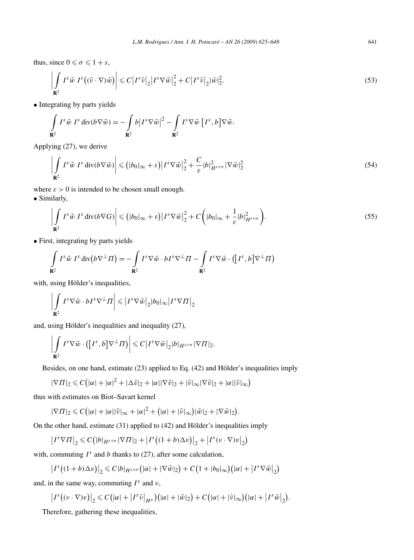thus, since  $0 \le \sigma \le 1 + s$ ,

$$
\left| \int_{\mathbf{R}^2} I^s \tilde{w} \, I^s \big( (\tilde{\nu} \cdot \nabla) \tilde{w} \big) \right| \leqslant C \left| I^s \tilde{\nu} \right|_2 \left| I^s \nabla \tilde{w} \right|_2^2 + C \left| I^s \tilde{\nu} \right|_2 |\tilde{w}|_2^2. \tag{53}
$$

• Integrating by parts yields

$$
\int_{\mathbf{R}^2} I^s \tilde{w} I^s \operatorname{div}(b \nabla \tilde{w}) = -\int_{\mathbf{R}^2} b |I^s \nabla \tilde{w}|^2 - \int_{\mathbf{R}^2} I^s \nabla \tilde{w} [I^s, b] \nabla \tilde{w}.
$$

Applying (27), we derive

$$
\left| \int_{\mathbf{R}^2} I^s \tilde{w} \, I^s \operatorname{div}(b \nabla \tilde{w}) \right| \leq (|b_0|_{\infty} + \varepsilon) \left| I^s \nabla \tilde{w} \right|_2^2 + \frac{C}{\varepsilon} |b|_{H^{s+\sigma}}^2 |\nabla \tilde{w}|_2^2 \tag{54}
$$

where  $\varepsilon > 0$  is intended to be chosen small enough.

• Similarly,

$$
\left| \int_{\mathbf{R}^2} I^s \tilde{w} \ I^s \operatorname{div}(b \nabla G) \right| \leq (|b_0|_{\infty} + \varepsilon) \left| I^s \nabla \tilde{w} \right|_2^2 + C \left( |b_0|_{\infty} + \frac{1}{\varepsilon} |b|_{H^{s+\sigma}}^2 \right). \tag{55}
$$

• First, integrating by parts yields

$$
\int_{\mathbf{R}^2} I^s \tilde{w} I^s \operatorname{div} (b \nabla^{\perp} \Pi) = - \int_{\mathbf{R}^2} I^s \nabla \tilde{w} \cdot b I^s \nabla^{\perp} \Pi - \int_{\mathbf{R}^2} I^s \nabla \tilde{w} \cdot ([I^s, b] \nabla^{\perp} \Pi)
$$

with, using Hölder's inequalities,

$$
\left| \int\limits_{\mathbf{R}^2} I^s \nabla \tilde{w} \cdot b I^s \nabla^\perp \Pi \right| \leqslant \left| I^s \nabla \tilde{w} \right|_2 |b_0|_\infty \left| I^s \nabla \Pi \right|_2
$$

and, using Hölder's inequalities and inequality (27),

$$
\left|\int\limits_{\mathbf{R}^2} I^s\nabla \tilde{w}\cdot ([I^s,b]\nabla^{\perp} \Pi)\right| \leqslant C\left|I^s\nabla \tilde{w}\right|_2 |b|_{H^{s+\sigma}} |\nabla \Pi|_2.
$$

Besides, on one hand, estimate (23) applied to Eq. (42) and Hölder's inequalities imply

$$
|\nabla \Pi|_2 \leqslant C(|\alpha| + |\alpha|^2 + |\Delta \tilde{v}|_2 + |\alpha||\nabla \tilde{v}|_2 + |\tilde{v}|_{\infty} |\nabla \tilde{v}|_2 + |\alpha||\tilde{v}|_{\infty})
$$

thus with estimates on Biot–Savart kernel

$$
|\nabla\Pi|_2 \leqslant C(|\alpha|+|\alpha||\tilde{\nu}|_{\infty}+|\alpha|^2+\big(|\alpha|+|\tilde{\nu}|_{\infty}\big)|\tilde{w}|_2+|\nabla\tilde{w}|_2\big).
$$

On the other hand, estimate (31) applied to (42) and Hölder's inequalities imply

$$
\left|I^{s}\nabla\Pi\right|_{2} \leq C\big(|b|_{H^{s+\sigma}}|\nabla\Pi|_{2}+\left|I^{s}\big((1+b)\Delta v\big)\right|_{2}+\left|I^{s}\left(v\cdot\nabla\right)v\right|_{2}\big)
$$

with, commuting  $I^s$  and *b* thanks to (27), after some calculation,

$$
\left|I^s((1+b)\Delta v)\right|_2 \leqslant C|b|_{H^{s+\sigma}}\big(|\alpha|+|\nabla \tilde{w}|_2\big)+C\big(1+|b_0|_\infty\big)\big(|\alpha|+|I^s\nabla \tilde{w}\big|_2\big)
$$

and, in the same way, commuting  $I^s$  and  $\nu$ ,

$$
\left|I^s((v\cdot\nabla)v)\right|_2\leqslant C\big(|\alpha|+|I^s\tilde{v}|_{H^{\sigma}}\big)\big(|\alpha|+|\tilde{w}|_2\big)+C\big(|\alpha|+|\tilde{v}|_{\infty}\big)\big(|\alpha|+|I^s\tilde{w}|_2\big).
$$

Therefore, gathering these inequalities,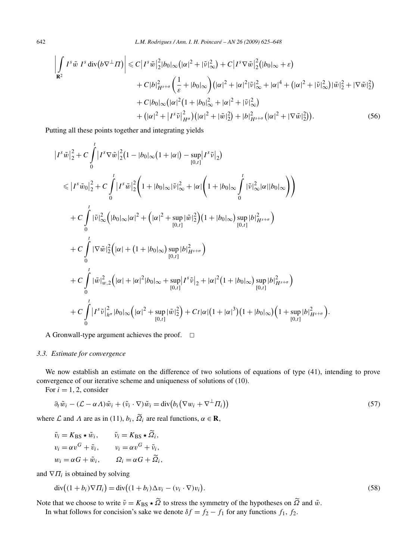$$
\left| \int_{\mathbf{R}^2} I^s \tilde{w} I^s \operatorname{div} (b \nabla^{\perp} \Pi) \right| \leq C \left| I^s \tilde{w} \right|_2^2 |b_0|_{\infty} (|\alpha|^2 + |\tilde{v}|_{\infty}^2) + C \left| I^s \nabla \tilde{w} \right|_2^2 (|b_0|_{\infty} + \varepsilon)
$$
  
+  $C |b|_{H^{s+\sigma}}^2 \left( \frac{1}{\varepsilon} + |b_0|_{\infty} \right) (|\alpha|^2 + |\alpha|^2 |\tilde{v}|_{\infty}^2 + |\alpha|^4 + (|\alpha|^2 + |\tilde{v}|_{\infty}^2) |\tilde{w}|_2^2 + |\nabla \tilde{w}|_2^2)$   
+  $C |b_0|_{\infty} (|\alpha|^2 (1 + |b_0|_{\infty}^2 + |\alpha|^2 + |\tilde{v}|_{\infty}^2)$   
+  $(|\alpha|^2 + |I^s \tilde{v}|_{H^{\sigma}}^2) (|\alpha|^2 + |\tilde{w}|_2^2) + |b|_{H^{s+\sigma}}^2 (|\alpha|^2 + |\nabla \tilde{w}|_2^2)).$  (56)

Putting all these points together and integrating yields

$$
|I^{s}\tilde{w}|_{2}^{2}+C\int_{0}^{t}|I^{s}\nabla \tilde{w}|_{2}^{2}(1-|b_{0}|\infty(1+|\alpha|)-\sup_{[0,t]}|I^{s}\tilde{v}|_{2})
$$
  
\n
$$
\leq |I^{s}\tilde{w}_{0}|_{2}^{2}+C\int_{0}^{t}|I^{s}\tilde{w}|_{2}^{2}(1+|b_{0}|\infty|\tilde{v}|_{\infty}^{2}+|\alpha|\left(1+|b_{0}|\infty\int_{0}^{t}|\tilde{v}|_{\infty}^{2}|\alpha||b_{0}|\infty\right))
$$
  
\n
$$
+C\int_{0}^{t}|\tilde{v}|_{\infty}^{2}(|b_{0}|\infty|\alpha|^{2}+(|\alpha|^{2}+\sup_{[0,t]}|\tilde{w}|_{2}^{2})(1+|b_{0}|\infty)\sup_{[0,t]}|b|_{H^{s+\sigma}}^{2})
$$
  
\n
$$
+C\int_{0}^{t}|\nabla \tilde{w}|_{2}^{2}(|\alpha|+(1+|b_{0}|\infty)\sup_{[0,t]}|b|_{H^{s+\sigma}}^{2})
$$
  
\n
$$
+C\int_{0}^{t}|\tilde{w}|_{w,2}^{2}(|\alpha|+|\alpha|^{2}|b_{0}|\infty+\sup_{[0,t]}|I^{s}\tilde{v}|_{2}+|\alpha|^{2}(1+|b_{0}|\infty)\sup_{[0,t]}|b|_{H^{s+\sigma}}^{2})
$$
  
\n
$$
+C\int_{0}^{t}|I^{s}\tilde{v}|_{h^{\sigma}}^{2}|b_{0}|\infty(|\alpha|^{2}+\sup_{[0,t]}|\tilde{w}|_{2}^{2})+Ct|\alpha|(1+|\alpha|^{3})(1+|b_{0}|\infty)(1+\sup_{[0,t]}|b|_{H^{s+\sigma}}^{2}).
$$

A Gronwall-type argument achieves the proof.  $\Box$ 

## *3.3. Estimate for convergence*

We now establish an estimate on the difference of two solutions of equations of type (41), intending to prove convergence of our iterative scheme and uniqueness of solutions of (10).

For  $i = 1, 2$ , consider

$$
\partial_t \tilde{w}_i - (\mathcal{L} - \alpha \Lambda) \tilde{w}_i + (\tilde{v}_i \cdot \nabla) \tilde{w}_i = \text{div} \big( b_i \big( \nabla w_i + \nabla^{\perp} \Pi_i \big) \big) \tag{57}
$$

where *L* and *Λ* are as in (11),  $b_i$ ,  $\widetilde{Q}_i$  are real functions,  $\alpha \in \mathbf{R}$ ,

$$
\tilde{v}_i = K_{\text{BS}} \star \tilde{w}_i, \qquad \tilde{v}_i = K_{\text{BS}} \star \tilde{\Omega}_i,
$$
  
\n
$$
v_i = \alpha v^G + \tilde{v}_i, \qquad v_i = \alpha v^G + \tilde{v}_i,
$$
  
\n
$$
w_i = \alpha G + \tilde{w}_i, \qquad \Omega_i = \alpha G + \tilde{\Omega}_i,
$$

 $\sim$   $\sim$ 

and  $\nabla \Pi_i$  is obtained by solving

$$
\operatorname{div}\left((1+b_i)\nabla\Pi_i\right) = \operatorname{div}\left((1+b_i)\Delta v_i - (v_i \cdot \nabla)v_i\right). \tag{58}
$$

Note that we choose to write  $\tilde{\nu} = K_{BS} \star \Omega$  to stress the symmetry of the hypotheses on  $\Omega$  and  $\tilde{\omega}$ .

In what follows for concision's sake we denote  $\delta f = f_2 - f_1$  for any functions  $f_1, f_2$ .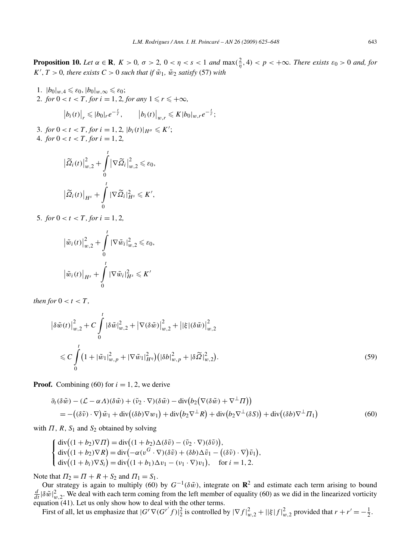**Proposition 10.** Let  $\alpha \in \mathbb{R}$ ,  $K > 0$ ,  $\sigma > 2$ ,  $0 < \eta < s < 1$  and  $\max(\frac{2}{\eta}, 4) < p < +\infty$ . There exists  $\varepsilon_0 > 0$  and, for  $K', T > 0$ , there exists  $C > 0$  such that if  $\tilde{w}_1$ ,  $\tilde{w}_2$  satisfy (57) with

1.  $|b_0|_{w,4} \leq \varepsilon_0$ ,  $|b_0|_{w,\infty} \leq \varepsilon_0$ ; 2. *for*  $0 < t < T$ *, for*  $i = 1, 2$ *, for any*  $1 \le r \le +\infty$ *,*  $|b_i(t)|_r \leqslant |b_0|_r e^{-\frac{t}{r}}, \qquad |b_i(t)|_{w,r} \leqslant K|b_0|_{w,r} e^{-\frac{t}{r}};$ 3. *for*  $0 < t < T$ *, for*  $i = 1, 2$ ,  $|b_i(t)|_{H^{\sigma}} \leq K'$ ; 4. *for*  $0 < t < T$ *, for*  $i = 1, 2$ *,* 

$$
\left|\widetilde{\Omega}_{i}(t)\right|_{w,2}^{2} + \int_{0}^{t} \left|\nabla \widetilde{\Omega}_{i}\right|_{w,2}^{2} \leq \varepsilon_{0},
$$

$$
\left|\widetilde{\Omega}_{i}(t)\right|_{H^{s}} + \int_{0}^{t} \left|\nabla \widetilde{\Omega}_{i}\right|_{H^{s}}^{2} \leq K',
$$

5. *for*  $0 < t < T$ *, for*  $i = 1, 2$ *,* 

$$
\left| \tilde{w}_i(t) \right|_{w,2}^2 + \int_0^t \left| \nabla \tilde{w}_i \right|_{w,2}^2 \leq \varepsilon_0,
$$
  

$$
\left| \tilde{w}_i(t) \right|_{H^s} + \int_0^t \left| \nabla \tilde{w}_i \right|_{H^s}^2 \leq K'
$$

*then for*  $0 < t < T$ *,* 

$$
\left| \delta \tilde{w}(t) \right|_{w,2}^{2} + C \int_{0}^{t} \left| \delta \tilde{w} \right|_{w,2}^{2} + \left| \nabla(\delta \tilde{w}) \right|_{w,2}^{2} + \left| \left| \xi \right| (\delta \tilde{w}) \right|_{w,2}^{2}
$$
  

$$
\leq C \int_{0}^{t} \left( 1 + \left| \tilde{w}_{1} \right|_{w,p}^{2} + \left| \nabla \tilde{w}_{1} \right|_{H^{\eta}}^{2} \right) \left( \left| \delta b \right|_{w,p}^{2} + \left| \delta \tilde{\Omega} \right|_{w,2}^{2} \right). \tag{59}
$$

**Proof.** Combining (60) for  $i = 1, 2$ , we derive

$$
\partial_t(\delta \tilde{w}) - (\mathcal{L} - \alpha \Lambda)(\delta \tilde{w}) + (\tilde{v}_2 \cdot \nabla)(\delta \tilde{w}) - \text{div}(b_2(\nabla(\delta \tilde{w}) + \nabla^{\perp} \Pi))
$$
  
= -((\delta \tilde{v}) \cdot \nabla)\tilde{w}\_1 + \text{div}((\delta b)\nabla w\_1) + \text{div}(b\_2\nabla^{\perp} R) + \text{div}(b\_2\nabla^{\perp} (\delta S)) + \text{div}((\delta b)\nabla^{\perp} \Pi\_1) (60)

with  $\Pi$ ,  $R$ ,  $S_1$  and  $S_2$  obtained by solving

$$
\begin{cases}\n\operatorname{div}\left((1+b_2)\nabla\Pi\right) = \operatorname{div}\left((1+b_2)\Delta(\delta\tilde{v}) - (\tilde{v}_2 \cdot \nabla)(\delta\tilde{v})\right), \\
\operatorname{div}\left((1+b_2)\nabla R\right) = \operatorname{div}\left(-\alpha(v^G \cdot \nabla)(\delta\tilde{v}) + (\delta b)\Delta\tilde{v}_1 - ((\delta\tilde{v}) \cdot \nabla)\tilde{v}_1\right), \\
\operatorname{div}\left((1+b_i)\nabla S_i\right) = \operatorname{div}\left((1+b_1)\Delta v_1 - (v_1 \cdot \nabla)v_1\right), \quad \text{for } i = 1, 2.\n\end{cases}
$$

Note that  $\Pi_2 = \Pi + R + S_2$  and  $\Pi_1 = S_1$ .

Our strategy is again to multiply (60) by  $G^{-1}(\delta \tilde{w})$ , integrate on  $\mathbb{R}^2$  and estimate each term arising to bound  $\frac{d}{dt}|\delta \tilde{w}|_{w,2}^2$ . We deal with each term coming from the left member of equality (60) as we equation  $(41)$ . Let us only show how to deal with the other terms.

First of all, let us emphasize that  $|G^r \nabla (G^{r'} f)|_2^2$  is controlled by  $|\nabla f|_{w,2}^2 + |\xi| f|_{w,2}^2$  provided that  $r + r' = -\frac{1}{2}$ .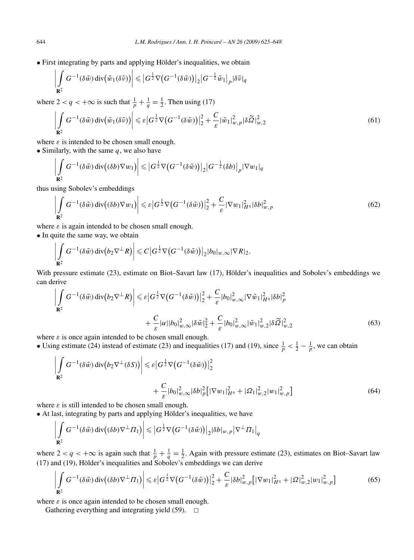• First integrating by parts and applying Hölder's inequalities, we obtain

$$
\left| \int_{\mathbf{R}^2} G^{-1}(\delta \tilde{w}) \operatorname{div} (\tilde{w}_1(\delta \tilde{v})) \right| \leqslant \left| G^{\frac{1}{2}} \nabla (G^{-1}(\delta \tilde{w})) \right|_2 \left| G^{-\frac{1}{2}} \tilde{w}_1 \right|_p |\delta \tilde{v}|_q
$$
  
we  $2 < q < +\infty$  is such that  $\frac{1}{2} + \frac{1}{2} = \frac{1}{2}$ . Then using (17)

where  $\frac{1}{p} + \frac{1}{q} = \frac{1}{2}$  $\frac{1}{2}$ . Then using (17)

$$
\left| \int_{\mathbf{R}^2} G^{-1}(\delta \tilde{w}) \operatorname{div}(\tilde{w}_1(\delta \tilde{v})) \right| \leqslant \varepsilon \left| G^{\frac{1}{2}} \nabla \left( G^{-1}(\delta \tilde{w}) \right) \right|_2^2 + \frac{C}{\varepsilon} \left| \tilde{w}_1 \right|_{w,p}^2 \left| \delta \tilde{Q} \right|_{w,2}^2 \tag{61}
$$

where  $\varepsilon$  is intended to be chosen small enough.

• Similarly, with the same *q*, we also have

$$
\left|\int\limits_{\mathbf{R}^2} G^{-1}(\delta \tilde{w}) \operatorname{div}((\delta b) \nabla w_1)\right| \leqslant \left|G^{\frac{1}{2}} \nabla \big(G^{-1}(\delta \tilde{w})\big)\right|_2 \left|G^{-\frac{1}{2}}(\delta b)\right|_p |\nabla w_1|_q
$$

thus using Sobolev's embeddings

$$
\left| \int_{\mathbf{R}^2} G^{-1}(\delta \tilde{w}) \operatorname{div} \left( (\delta b) \nabla w_1 \right) \right| \leqslant \varepsilon \left| G^{\frac{1}{2}} \nabla \left( G^{-1}(\delta \tilde{w}) \right) \right|_2^2 + \frac{C}{\varepsilon} \left| \nabla w_1 \right|_{H^{\eta}}^2 |\delta b|_{w,p}^2 \tag{62}
$$

where  $\varepsilon$  is again intended to be chosen small enough.

• In quite the same way, we obtain

$$
\left|\int\limits_{\mathbf{R}^2} G^{-1}(\delta \tilde{w}) \operatorname{div} (b_2 \nabla^{\perp} R)\right| \leqslant C \left|G^{\frac{1}{2}} \nabla (G^{-1}(\delta \tilde{w}))\right|_2 |b_0|_{w,\infty} |\nabla R|_2.
$$

With pressure estimate (23), estimate on Biot–Savart law (17), Hölder's inequalities and Sobolev's embeddings we can derive

$$
\left| \int_{\mathbf{R}^2} G^{-1}(\delta \tilde{w}) \operatorname{div} (b_2 \nabla^{\perp} R) \right| \leqslant \varepsilon \left| G^{\frac{1}{2}} \nabla (G^{-1}(\delta \tilde{w})) \right|_2^2 + \frac{C}{\varepsilon} |b_0|_{w,\infty}^2 |\nabla \tilde{w}_1|_{H^{\eta}}^2 |\delta b|_{p}^2 + \frac{C}{\varepsilon} |\alpha| |b_0|_{w,\infty}^2 |\delta \tilde{w}|_2^2 + \frac{C}{\varepsilon} |b_0|_{w,\infty}^2 |\tilde{w}_1|_{w,2}^2 |\delta \tilde{\Omega}|_{w,2}^2
$$
(63)

where  $\varepsilon$  is once again intended to be chosen small enough.

• Using estimate (24) instead of estimate (23) and inequalities (17) and (19), since  $\frac{1}{p} < \frac{1}{2} - \frac{1}{p}$ , we can obtain

$$
\left| \int_{\mathbf{R}^2} G^{-1}(\delta \tilde{w}) \operatorname{div} (b_2 \nabla^{\perp} (\delta S)) \right| \leq \varepsilon \left| G^{\frac{1}{2}} \nabla (G^{-1}(\delta \tilde{w})) \right|_2^2
$$
  
+ 
$$
\frac{C}{\varepsilon} |b_0|_{w,\infty}^2 |\delta b|_p^2 \left[ |\nabla w_1|_{H^{\eta}}^2 + |\Omega_1|_{w,2}^2 |w_1|_{w,p}^2 \right]
$$
(64)

where  $\varepsilon$  is still intended to be chosen small enough.

• At last, integrating by parts and applying Hölder's inequalities, we have

$$
\left|\int\limits_{\mathbf{R}^2} G^{-1}(\delta \tilde{w}) \operatorname{div} \left((\delta b) \nabla^\perp \varPi_1 \right) \right| \leqslant \left| G^{\frac{1}{2}} \nabla \left( G^{-1}(\delta \tilde{w}) \right) \right|_2 |\delta b|_{w,p} \left| \nabla^\perp \varPi_1 \right|_q
$$

where  $2 < q < +\infty$  is again such that  $\frac{1}{p} + \frac{1}{q} = \frac{1}{2}$ . Again with pressure estimate (23), estimates on Biot–Savart law (17) and (19), Hölder's inequalities and Sobolev's embeddings we can derive

$$
\left| \int\limits_{\mathbf{R}^2} G^{-1}(\delta \tilde{w}) \operatorname{div} \left( (\delta b) \nabla^{\perp} \Pi_1 \right) \right| \leqslant \varepsilon \left| G^{\frac{1}{2}} \nabla \left( G^{-1}(\delta \tilde{w}) \right) \right|_2^2 + \frac{C}{\varepsilon} \left| \delta b \right|_{w,p}^2 \left[ |\nabla w_1|_{H^{\eta}}^2 + |\Omega|_{w,2}^2 |w_1|_{w,p}^2 \right] \tag{65}
$$

where  $\varepsilon$  is once again intended to be chosen small enough.

Gathering everything and integrating yield  $(59)$ .  $\Box$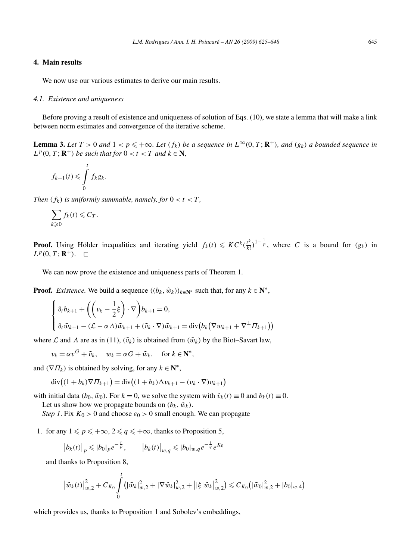## **4. Main results**

We now use our various estimates to derive our main results.

#### *4.1. Existence and uniqueness*

Before proving a result of existence and uniqueness of solution of Eqs. (10), we state a lemma that will make a link between norm estimates and convergence of the iterative scheme.

**Lemma 3.** Let  $T > 0$  and  $1 < p \leq +\infty$ . Let  $(f_k)$  be a sequence in  $L^{\infty}(0, T; \mathbb{R}^+)$ , and  $(g_k)$  a bounded sequence in  $L^p(0, T; \mathbb{R}^+)$  *be such that for*  $0 < t < T$  *and*  $k \in \mathbb{N}$ *,* 

$$
f_{k+1}(t)\leqslant \int\limits_{0}^{t}f_{k}g_{k}.
$$

*Then*  $(f_k)$  *is uniformly summable, namely, for*  $0 < t < T$ ,

$$
\sum_{k\geqslant 0} f_k(t) \leqslant C_T.
$$

**Proof.** Using Hölder inequalities and iterating yield  $f_k(t) \leqslant KC^k \left(\frac{t^k}{k!}\right)^{1-\frac{1}{p}}$ , where *C* is a bound for *(gk)* in  $L^p(0,T; \mathbb{R}^+)$ .  $\Box$ 

We can now prove the existence and uniqueness parts of Theorem 1.

**Proof.** *Existence*. We build a sequence  $((b_k, \tilde{w}_k))_{k \in \mathbb{N}^*}$  such that, for any  $k \in \mathbb{N}^*$ ,

$$
\begin{cases} \partial_t b_{k+1} + \left( \left( v_k - \frac{1}{2} \xi \right) \cdot \nabla \right) b_{k+1} = 0, \\ \partial_t \tilde{w}_{k+1} - \left( \mathcal{L} - \alpha A \right) \tilde{w}_{k+1} + \left( \tilde{v}_k \cdot \nabla \right) \tilde{w}_{k+1} = \text{div} \left( b_k \left( \nabla w_{k+1} + \nabla^{\perp} \Pi_{k+1} \right) \right) \end{cases}
$$

where  $\mathcal L$  and  $\Lambda$  are as in (11),  $(\tilde v_k)$  is obtained from  $(\tilde w_k)$  by the Biot–Savart law,

 $v_k = \alpha v^G + \tilde{v}_k$ ,  $w_k = \alpha G + \tilde{w}_k$ , for  $k \in \mathbb{N}^*$ ,

and  $(\nabla \Pi_k)$  is obtained by solving, for any  $k \in \mathbb{N}^*$ ,

$$
\operatorname{div}\bigl((1+b_k)\nabla\Pi_{k+1}\bigr) = \operatorname{div}\bigl((1+b_k)\Delta v_{k+1} - (v_k\cdot\nabla)v_{k+1}\bigr)
$$

with initial data  $(b_0, \tilde{w}_0)$ . For  $k = 0$ , we solve the system with  $\tilde{v}_k(t) \equiv 0$  and  $b_k(t) \equiv 0$ .

Let us show how we propagate bounds on  $(b_k, \tilde{w}_k)$ .

*Step 1*. Fix  $K_0 > 0$  and choose  $\varepsilon_0 > 0$  small enough. We can propagate

1. for any  $1 \leq p \leq +\infty$ ,  $2 \leq q \leq +\infty$ , thanks to Proposition 5,

$$
\left|b_{k}(t)\right|_{p} \leqslant |b_{0}|_{p} e^{-\frac{t}{p}}, \qquad \left|b_{k}(t)\right|_{w,q} \leqslant |b_{0}|_{w,q} e^{-\frac{t}{q}} e^{K_{0}}
$$

and thanks to Proposition 8,

$$
\big|\tilde{w}_k(t)\big|^2_{w,2} + C_{K_0} \int\limits_0^t \big(|\tilde{w}_k|^2_{w,2} + |\nabla \tilde{w}_k|^2_{w,2} + \big||\xi|\tilde{w}_k\big|^2_{w,2}\big) \leq C_{K_0} \big(|\tilde{w}_0|^2_{w,2} + |b_0|_{w,4}\big)
$$

which provides us, thanks to Proposition 1 and Sobolev's embeddings,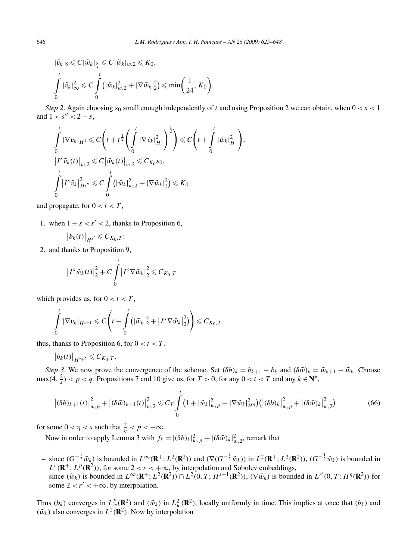$$
|\tilde{v}_k|_8 \leq C |\tilde{w}_k|_{\frac{8}{5}} \leq C |\tilde{w}_k|_{w,2} \leq K_0,
$$
  

$$
\int_0^t |\tilde{v}_k|_{\infty}^2 \leq C \int_0^t (|\tilde{w}_k|_{w,2}^2 + |\nabla \tilde{w}_k|_2^2) \leq \min\left(\frac{1}{24}, K_0\right)
$$

*Step 2.* Again choosing  $\varepsilon_0$  small enough independently of *t* and using Proposition 2 we can obtain, when  $0 < s < 1$ and  $1 < s'' < 2 - s$ ,

*.*

$$
\int_{0}^{t} |\nabla v_{k}|_{H^{1}} \leq C \left( t + t^{\frac{1}{2}} \left( \int_{0}^{t} |\nabla \tilde{v}_{k}|_{H^{1}}^{2} \right)^{\frac{1}{2}} \right) \leq C \left( t + \int_{0}^{t} |\tilde{w}_{k}|_{H^{1}}^{2} \right),
$$
\n
$$
|I^{s} \tilde{v}_{k}(t)|_{w,2} \leq C \left| \tilde{w}_{k}(t) \right|_{w,2} \leq C_{K_{0}} \varepsilon_{0},
$$
\n
$$
\int_{0}^{t} |I^{s} \tilde{v}_{k}|_{H^{s}}^{2} \leq C \int_{0}^{t} \left( |\tilde{w}_{k}|_{w,2}^{2} + |\nabla \tilde{w}_{k}|_{2}^{2} \right) \leq K_{0}
$$

and propagate, for  $0 < t < T$ ,

1. when  $1 + s < s' < 2$ , thanks to Proposition 6,

$$
\left|b_k(t)\right|_{H^{s'}}\leqslant C_{K_0,T};
$$

2. and thanks to Proposition 9,

$$
\left|I^s\tilde{w}_k(t)\right|_2^2 + C\int\limits_0^t \left|I^s\nabla \tilde{w}_k\right|_2^2 \leqslant C_{K_0,T}
$$

which provides us, for  $0 < t < T$ ,

$$
\int_{0}^{t} |\nabla v_{k}|_{H^{s+1}} \leqslant C \left( t + \int_{0}^{t} \left( |\tilde{w}_{k}|_{2}^{2} + \left| I^{s} \nabla \tilde{w}_{k} \right|_{2}^{2} \right) \right) \leqslant C_{K_{0},T}
$$

thus, thanks to Proposition 6, for  $0 < t < T$ ,

$$
\left|b_k(t)\right|_{H^{s+2}}\leqslant C_{K_0,T}.
$$

*Step 3*. We now prove the convergence of the scheme. Set  $(\delta b)_k = b_{k+1} - b_k$  and  $(\delta \tilde{w})_k = \tilde{w}_{k+1} - \tilde{w}_k$ . Choose  $\max(4, \frac{2}{s}) < p < q$ . Propositions 7 and 10 give us, for  $T > 0$ , for any  $0 < t < T$  and any  $k \in \mathbb{N}^*$ ,

$$
\left| (\delta b)_{k+1}(t) \right|_{w,p}^2 + \left| (\delta \tilde{w})_{k+1}(t) \right|_{w,2}^2 \leq C_T \int_0^t \left( 1 + |\tilde{w}_k|_{w,p}^2 + |\nabla \tilde{w}_k|_{H^{\eta}}^2 \right) \left( |(\delta b)_k|_{w,p}^2 + |(\delta \tilde{w})_k|_{w,2}^2 \right) \tag{66}
$$

for some  $0 < \eta < s$  such that  $\frac{2}{\eta} < p < +\infty$ .

Now in order to apply Lemma 3 with  $f_k = |(\delta b)_k|_{w,p}^2 + |(\delta \tilde{w})_k|_{w,2}^2$ , remark that

- since  $(G^{-\frac{1}{2}}\tilde{w}_k)$  is bounded in  $L^{\infty}(\mathbf{R}^+; L^2(\mathbf{R}^2))$  and  $(\nabla(G^{-\frac{1}{2}}\tilde{w}_k))$  in  $L^2(\mathbf{R}^+; L^2(\mathbf{R}^2))$ ,  $(G^{-\frac{1}{2}}\tilde{w}_k)$  is bounded in  $L^r(\mathbf{R}^+; L^p(\mathbf{R}^2))$ , for some  $2 < r < +\infty$ , by interpolation and Sobolev embeddings,
- since  $(\tilde{w}_k)$  is bounded in  $L^{\infty}(\mathbf{R}^+; L^2(\mathbf{R}^2)) \cap L^2(0, T; H^{s+1}(\mathbf{R}^2))$ ,  $(\nabla \tilde{w}_k)$  is bounded in  $L^{r'}(0, T; H^{\eta}(\mathbf{R}^2))$  for some  $2 < r' < +\infty$ , by interpolation.

Thus  $(b_k)$  converges in  $L_w^p(\mathbf{R}^2)$  and  $(\tilde{w}_k)$  in  $L_w^2(\mathbf{R}^2)$ , locally uniformly in time. This implies at once that  $(b_k)$  and  $(\tilde{w}_k)$  also converges in  $L^2(\mathbf{R}^2)$ . Now by interpolation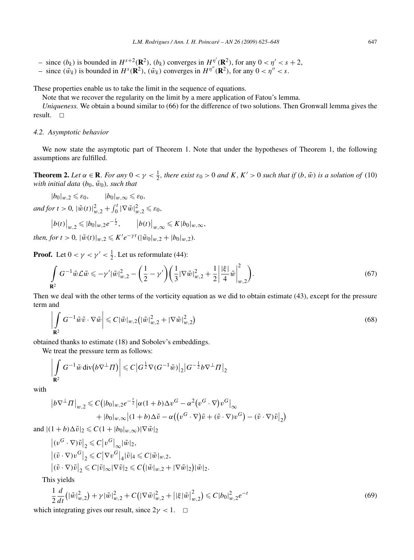$-$  since  $(\tilde{w}_k)$  is bounded in  $H^s(\mathbb{R}^2)$ ,  $(\tilde{w}_k)$  converges in  $H^{\eta''}(\mathbb{R}^2)$ , for any  $0 < \eta'' < s$ .

These properties enable us to take the limit in the sequence of equations.

Note that we recover the regularity on the limit by a mere application of Fatou's lemma.

*Uniqueness.* We obtain a bound similar to (66) for the difference of two solutions. Then Gronwall lemma gives the result.  $\square$ 

## *4.2. Asymptotic behavior*

We now state the asymptotic part of Theorem 1. Note that under the hypotheses of Theorem 1, the following assumptions are fulfilled.

**Theorem 2.** Let  $\alpha \in \mathbb{R}$ . For any  $0 < \gamma < \frac{1}{2}$ , there exist  $\varepsilon_0 > 0$  and  $K, K' > 0$  such that if  $(b, \tilde{w})$  is a solution of (10) *with initial data*  $(b_0, \tilde{w}_0)$ *, such that* 

 $|b_0|_{w,2} \leq \varepsilon_0$ ,  $|b_0|_{w,\infty} \leq \varepsilon_0$ ,

 $\int_{-\infty}^{\infty} d\mu f$   $\int_{-\infty}^{\infty} d\mu f$   $\int_{-\infty}^{\infty} d\mu f$   $\int_{-\infty}^{\infty} d\mu f$   $\int_{-\infty}^{\infty} d\mu f$   $\int_{-\infty}^{\infty} d\mu f$   $\int_{-\infty}^{\infty} d\mu f$ 

$$
\left|b(t)\right|_{w,2} \leqslant |b_0|_{w,2}e^{-\frac{t}{2}}, \qquad \left|b(t)\right|_{w,\infty} \leqslant K|b_0|_{w,\infty},
$$

*then, for*  $t > 0$ ,  $|\tilde{w}(t)|_{w,2} \leqslant K'e^{-\gamma t}(|\tilde{w}_0|_{w,2} + |b_0|_{w,2})$ *.* 

**Proof.** Let  $0 < \gamma < \gamma' < \frac{1}{2}$ . Let us reformulate (44):

$$
\int_{\mathbf{R}^2} G^{-1} \tilde{w} \mathcal{L} \tilde{w} \leqslant -\gamma' |\tilde{w}|_{w,2}^2 - \left(\frac{1}{2} - \gamma' \right) \left(\frac{1}{3} |\nabla \tilde{w}|_{w,2}^2 + \frac{1}{2} \left| \frac{|\xi|}{4} \tilde{w} \right|_{w,2}^2\right). \tag{67}
$$

Then we deal with the other terms of the vorticity equation as we did to obtain estimate (43), except for the pressure term and

$$
\left| \int_{\mathbf{R}^2} G^{-1} \tilde{w} \tilde{v} \cdot \nabla \tilde{w} \right| \leqslant C |\tilde{w}|_{w,2} \left( |\tilde{w}|_{w,2}^2 + |\nabla \tilde{w}|_{w,2}^2 \right) \tag{68}
$$

obtained thanks to estimate (18) and Sobolev's embeddings.

We treat the pressure term as follows:

$$
\left|\int\limits_{\mathbf{R}^2} G^{-1} \tilde{w} \operatorname{div} (b \nabla^\perp \Pi) \right| \leqslant C \left| G^{\frac{1}{2}} \nabla (G^{-1} \tilde{w}) \right|_2 \left| G^{-\frac{1}{2}} b \nabla^\perp \Pi \right|_2
$$

with

$$
\begin{aligned} \left| b \nabla^{\perp} \Pi \right|_{w,2} &\leq C \big( |b_0|_{w,2} e^{-\frac{t}{2}} \left| \alpha(1+b) \Delta v^G - \alpha^2 \left( v^G \cdot \nabla \right) v^G \right|_{\infty} \\ &+ |b_0|_{w,\infty} \left| (1+b) \Delta \tilde{v} - \alpha \left( \left( v^G \cdot \nabla \right) \tilde{v} + (\tilde{v} \cdot \nabla) v^G \right) - (\tilde{v} \cdot \nabla) \tilde{v} \right|_2 \big) \end{aligned}
$$

and  $|(1+b)\Delta \tilde{v}|_2 \leqslant C(1+|b_0|_{w,\infty})|\nabla \tilde{w}|_2$ 

$$
\begin{aligned} &\left| (v^G \cdot \nabla) \tilde{v} \right|_2 \leqslant C \left| v^G \right|_\infty |\tilde{w}|_2, \\ &\left| (\tilde{v} \cdot \nabla) v^G \right|_2 \leqslant C \left| \nabla v^G \right|_4 |\tilde{v}|_4 \leqslant C |\tilde{w}|_{w,2}, \\ &\left| (\tilde{v} \cdot \nabla) \tilde{v} \right|_2 \leqslant C |\tilde{v}|_\infty |\nabla \tilde{v}|_2 \leqslant C \left( |\tilde{w}|_{w,2} + |\nabla \tilde{w}|_2 \right) |\tilde{w}|_2. \end{aligned}
$$

This yields

$$
\frac{1}{2}\frac{d}{dt}\left(|\tilde{w}|_{w,2}^{2}\right) + \gamma |\tilde{w}|_{w,2}^{2} + C\left(|\nabla \tilde{w}|_{w,2}^{2} + \left| |\xi|\tilde{w}|_{w,2}^{2}\right| \right) \leq C|b_{0}|_{w,2}^{2}e^{-t}
$$
\n(69)

which integrating gives our result, since  $2\gamma < 1$ .  $\Box$